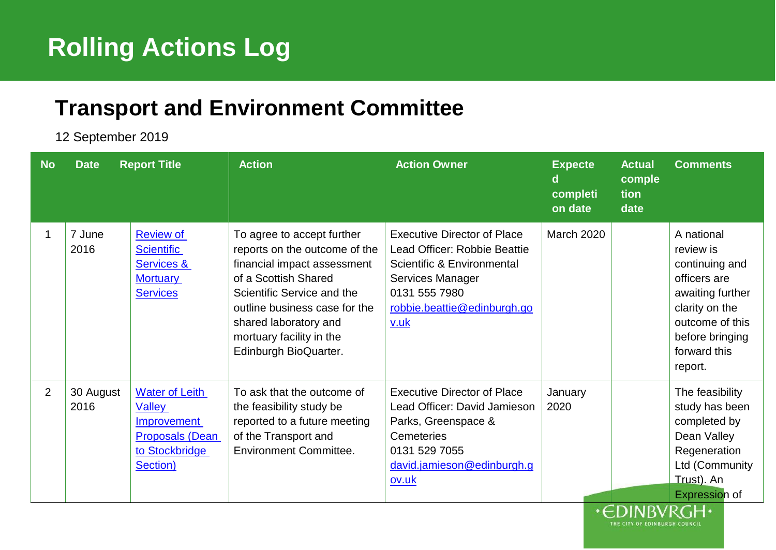## <sup>1</sup> **Rolling Actions Log**

## <sup>5</sup> **Transport and Environment Committee**

6 12 September 2019

| <b>No</b> | <b>Date</b>       | <b>Report Title</b>                                                                                           | <b>Action</b>                                                                                                                                                                                                                                                   | <b>Action Owner</b>                                                                                                                                                          | <b>Expecte</b><br>d<br>completi<br>on date | <b>Actual</b><br>comple<br>tion<br>date | <b>Comments</b>                                                                                                                                                  |
|-----------|-------------------|---------------------------------------------------------------------------------------------------------------|-----------------------------------------------------------------------------------------------------------------------------------------------------------------------------------------------------------------------------------------------------------------|------------------------------------------------------------------------------------------------------------------------------------------------------------------------------|--------------------------------------------|-----------------------------------------|------------------------------------------------------------------------------------------------------------------------------------------------------------------|
|           | 7 June<br>2016    | <b>Review of</b><br><b>Scientific</b><br>Services &<br><b>Mortuary</b><br><b>Services</b>                     | To agree to accept further<br>reports on the outcome of the<br>financial impact assessment<br>of a Scottish Shared<br>Scientific Service and the<br>outline business case for the<br>shared laboratory and<br>mortuary facility in the<br>Edinburgh BioQuarter. | <b>Executive Director of Place</b><br>Lead Officer: Robbie Beattie<br>Scientific & Environmental<br>Services Manager<br>0131 555 7980<br>robbie.beattie@edinburgh.go<br>v.uk | <b>March 2020</b>                          |                                         | A national<br>review is<br>continuing and<br>officers are<br>awaiting further<br>clarity on the<br>outcome of this<br>before bringing<br>forward this<br>report. |
| 2         | 30 August<br>2016 | <b>Water of Leith</b><br><b>Valley</b><br>Improvement<br><b>Proposals (Dean</b><br>to Stockbridge<br>Section) | To ask that the outcome of<br>the feasibility study be<br>reported to a future meeting<br>of the Transport and<br><b>Environment Committee.</b>                                                                                                                 | <b>Executive Director of Place</b><br>Lead Officer: David Jamieson<br>Parks, Greenspace &<br>Cemeteries<br>0131 529 7055<br>david.jamieson@edinburgh.g<br>ov.uk              | January<br>2020                            | $CN$ in in $C1$ if                      | The feasibility<br>study has been<br>completed by<br>Dean Valley<br>Regeneration<br>Ltd (Community<br>Trust). An<br>Expression of                                |

HE CITY OF EDINBURGH COUNCIL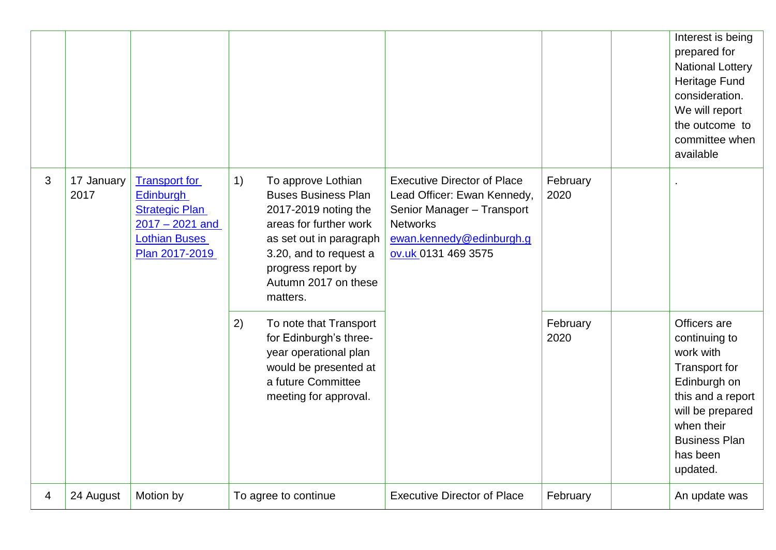|                |                    |                                                                                                                                  |                                                                                                                                                                                                                         |                                                                                                                                                                       |                  | Interest is being<br>prepared for<br><b>National Lottery</b><br>Heritage Fund<br>consideration.<br>We will report<br>the outcome to<br>committee when<br>available                 |
|----------------|--------------------|----------------------------------------------------------------------------------------------------------------------------------|-------------------------------------------------------------------------------------------------------------------------------------------------------------------------------------------------------------------------|-----------------------------------------------------------------------------------------------------------------------------------------------------------------------|------------------|------------------------------------------------------------------------------------------------------------------------------------------------------------------------------------|
| 3              | 17 January<br>2017 | <b>Transport for</b><br><b>Edinburgh</b><br><b>Strategic Plan</b><br>$2017 - 2021$ and<br><b>Lothian Buses</b><br>Plan 2017-2019 | To approve Lothian<br>1)<br><b>Buses Business Plan</b><br>2017-2019 noting the<br>areas for further work<br>as set out in paragraph<br>3.20, and to request a<br>progress report by<br>Autumn 2017 on these<br>matters. | <b>Executive Director of Place</b><br>Lead Officer: Ewan Kennedy,<br>Senior Manager - Transport<br><b>Networks</b><br>ewan.kennedy@edinburgh.g<br>ov.uk 0131 469 3575 | February<br>2020 |                                                                                                                                                                                    |
|                |                    |                                                                                                                                  | 2)<br>To note that Transport<br>for Edinburgh's three-<br>year operational plan<br>would be presented at<br>a future Committee<br>meeting for approval.                                                                 |                                                                                                                                                                       | February<br>2020 | Officers are<br>continuing to<br>work with<br>Transport for<br>Edinburgh on<br>this and a report<br>will be prepared<br>when their<br><b>Business Plan</b><br>has been<br>updated. |
| $\overline{4}$ | 24 August          | Motion by                                                                                                                        | To agree to continue                                                                                                                                                                                                    | <b>Executive Director of Place</b>                                                                                                                                    | February         | An update was                                                                                                                                                                      |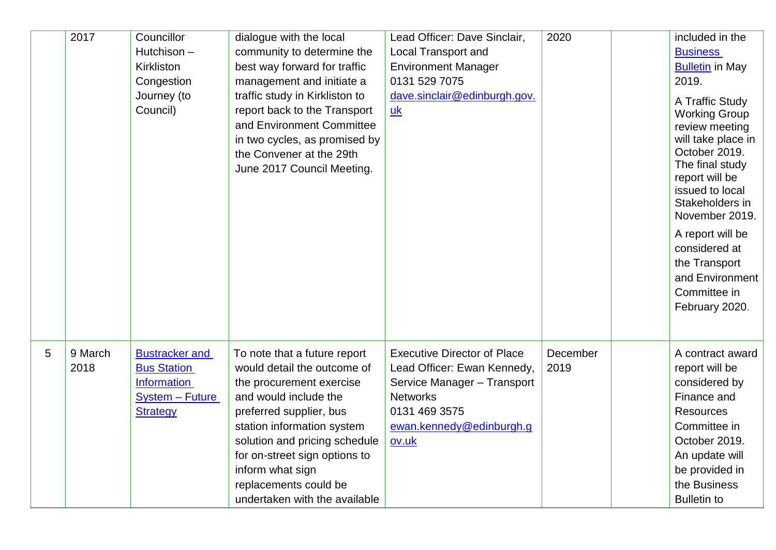|   | 2017            | Councillor<br>Hutchison-<br>Kirkliston<br>Congestion<br>Journey (to<br>Council)                                | dialogue with the local<br>community to determine the<br>best way forward for traffic<br>management and initiate a<br>traffic study in Kirkliston to<br>report back to the Transport<br>and Environment Committee<br>in two cycles, as promised by<br>the Convener at the 29th<br>June 2017 Council Meeting.              | Lead Officer: Dave Sinclair,<br><b>Local Transport and</b><br><b>Environment Manager</b><br>0131 529 7075<br>dave.sinclair@edinburgh.gov.<br>uk                           | 2020             | included in the<br><b>Business</b><br><b>Bulletin in May</b><br>2019.<br>A Traffic Study<br><b>Working Group</b><br>review meeting<br>will take place in<br>October 2019.<br>The final study<br>report will be<br>issued to local<br>Stakeholders in<br>November 2019.<br>A report will be<br>considered at<br>the Transport<br>and Environment<br>Committee in<br>February 2020. |
|---|-----------------|----------------------------------------------------------------------------------------------------------------|---------------------------------------------------------------------------------------------------------------------------------------------------------------------------------------------------------------------------------------------------------------------------------------------------------------------------|---------------------------------------------------------------------------------------------------------------------------------------------------------------------------|------------------|-----------------------------------------------------------------------------------------------------------------------------------------------------------------------------------------------------------------------------------------------------------------------------------------------------------------------------------------------------------------------------------|
| 5 | 9 March<br>2018 | <b>Bustracker and</b><br><b>Bus Station</b><br><b>Information</b><br><b>System - Future</b><br><b>Strategy</b> | To note that a future report<br>would detail the outcome of<br>the procurement exercise<br>and would include the<br>preferred supplier, bus<br>station information system<br>solution and pricing schedule<br>for on-street sign options to<br>inform what sign<br>replacements could be<br>undertaken with the available | <b>Executive Director of Place</b><br>Lead Officer: Ewan Kennedy,<br>Service Manager - Transport<br><b>Networks</b><br>0131 469 3575<br>ewan.kennedy@edinburgh.g<br>ov.uk | December<br>2019 | A contract award<br>report will be<br>considered by<br>Finance and<br><b>Resources</b><br>Committee in<br>October 2019.<br>An update will<br>be provided in<br>the Business<br><b>Bulletin to</b>                                                                                                                                                                                 |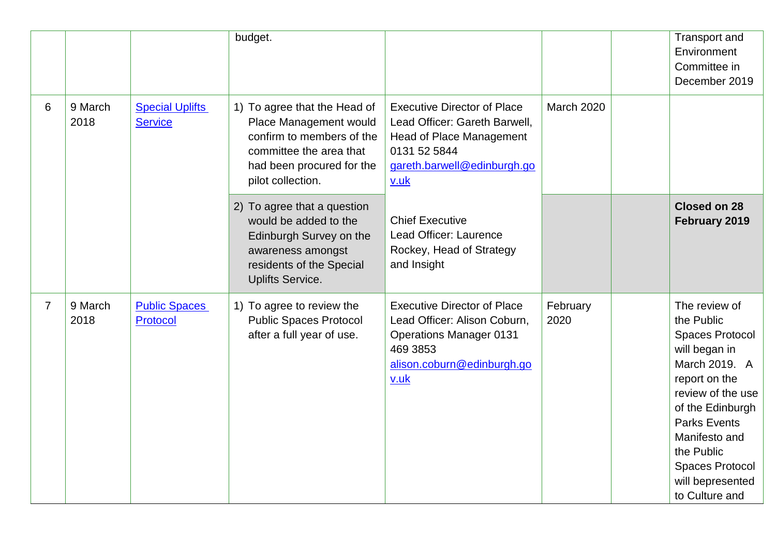|                |                 |                                          | budget.                                                                                                                                                          |                                                                                                                                                                                   |                   | <b>Transport and</b><br>Environment<br>Committee in<br>December 2019                                                                                                                                                                                      |
|----------------|-----------------|------------------------------------------|------------------------------------------------------------------------------------------------------------------------------------------------------------------|-----------------------------------------------------------------------------------------------------------------------------------------------------------------------------------|-------------------|-----------------------------------------------------------------------------------------------------------------------------------------------------------------------------------------------------------------------------------------------------------|
| 6              | 9 March<br>2018 | <b>Special Uplifts</b><br><b>Service</b> | 1) To agree that the Head of<br>Place Management would<br>confirm to members of the<br>committee the area that<br>had been procured for the<br>pilot collection. | <b>Executive Director of Place</b><br>Lead Officer: Gareth Barwell,<br><b>Head of Place Management</b><br>0131 52 5844<br>gareth.barwell@edinburgh.go<br>v.uk                     | <b>March 2020</b> |                                                                                                                                                                                                                                                           |
|                |                 |                                          | 2) To agree that a question<br>would be added to the<br>Edinburgh Survey on the<br>awareness amongst<br>residents of the Special<br><b>Uplifts Service.</b>      | <b>Chief Executive</b><br>Lead Officer: Laurence<br>Rockey, Head of Strategy<br>and Insight                                                                                       |                   | <b>Closed on 28</b><br>February 2019                                                                                                                                                                                                                      |
| $\overline{7}$ | 9 March<br>2018 | <b>Public Spaces</b><br><b>Protocol</b>  | 1) To agree to review the<br><b>Public Spaces Protocol</b><br>after a full year of use.                                                                          | <b>Executive Director of Place</b><br>Lead Officer: Alison Coburn,<br><b>Operations Manager 0131</b><br>469 3853<br>alison.coburn@edinburgh.go<br>$\underline{v}.\underline{u}$ k | February<br>2020  | The review of<br>the Public<br>Spaces Protocol<br>will began in<br>March 2019. A<br>report on the<br>review of the use<br>of the Edinburgh<br><b>Parks Events</b><br>Manifesto and<br>the Public<br>Spaces Protocol<br>will bepresented<br>to Culture and |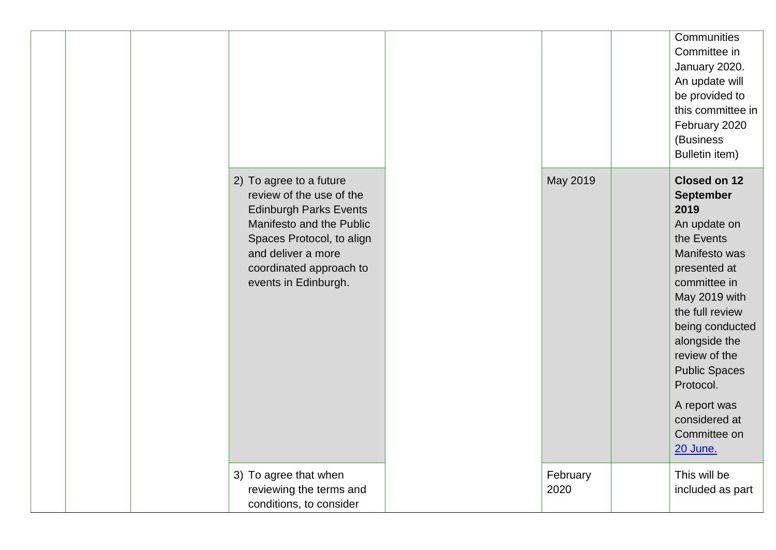|                                                                                                                                                                                                                        |                  | Communities<br>Committee in<br>January 2020.<br>An update will<br>be provided to<br>this committee in<br>February 2020<br>(Business<br>Bulletin item)                                                                                                                                                                            |
|------------------------------------------------------------------------------------------------------------------------------------------------------------------------------------------------------------------------|------------------|----------------------------------------------------------------------------------------------------------------------------------------------------------------------------------------------------------------------------------------------------------------------------------------------------------------------------------|
| 2) To agree to a future<br>review of the use of the<br><b>Edinburgh Parks Events</b><br>Manifesto and the Public<br>Spaces Protocol, to align<br>and deliver a more<br>coordinated approach to<br>events in Edinburgh. | May 2019         | <b>Closed on 12</b><br><b>September</b><br>2019<br>An update on<br>the Events<br>Manifesto was<br>presented at<br>committee in<br>May 2019 with<br>the full review<br>being conducted<br>alongside the<br>review of the<br><b>Public Spaces</b><br>Protocol.<br>A report was<br>considered at<br>Committee on<br><b>20 June.</b> |
| 3) To agree that when<br>reviewing the terms and<br>conditions, to consider                                                                                                                                            | February<br>2020 | This will be<br>included as part                                                                                                                                                                                                                                                                                                 |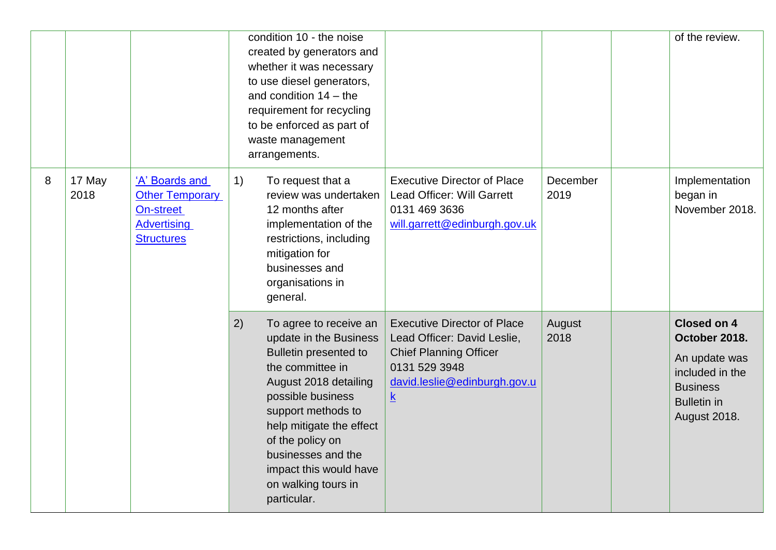|   |                |                                                                                           | waste management<br>arrangements. | condition 10 - the noise<br>created by generators and<br>whether it was necessary<br>to use diesel generators,<br>and condition $14 -$ the<br>requirement for recycling<br>to be enforced as part of                                                                                            |                                                                                                                                                                                |                  | of the review.                                                                                                                          |
|---|----------------|-------------------------------------------------------------------------------------------|-----------------------------------|-------------------------------------------------------------------------------------------------------------------------------------------------------------------------------------------------------------------------------------------------------------------------------------------------|--------------------------------------------------------------------------------------------------------------------------------------------------------------------------------|------------------|-----------------------------------------------------------------------------------------------------------------------------------------|
| 8 | 17 May<br>2018 | 'A' Boards and<br><b>Other Temporary</b><br>On-street<br>Advertising<br><b>Structures</b> | 1)<br>mitigation for<br>general.  | To request that a<br>review was undertaken<br>12 months after<br>implementation of the<br>restrictions, including<br>businesses and<br>organisations in                                                                                                                                         | <b>Executive Director of Place</b><br>Lead Officer: Will Garrett<br>0131 469 3636<br>will.garrett@edinburgh.gov.uk                                                             | December<br>2019 | Implementation<br>began in<br>November 2018.                                                                                            |
|   |                |                                                                                           | 2)<br>particular.                 | To agree to receive an<br>update in the Business<br><b>Bulletin presented to</b><br>the committee in<br>August 2018 detailing<br>possible business<br>support methods to<br>help mitigate the effect<br>of the policy on<br>businesses and the<br>impact this would have<br>on walking tours in | <b>Executive Director of Place</b><br>Lead Officer: David Leslie,<br><b>Chief Planning Officer</b><br>0131 529 3948<br>david.leslie@edinburgh.gov.u<br>$\overline{\mathsf{k}}$ | August<br>2018   | <b>Closed on 4</b><br>October 2018.<br>An update was<br>included in the<br><b>Business</b><br><b>Bulletin in</b><br><b>August 2018.</b> |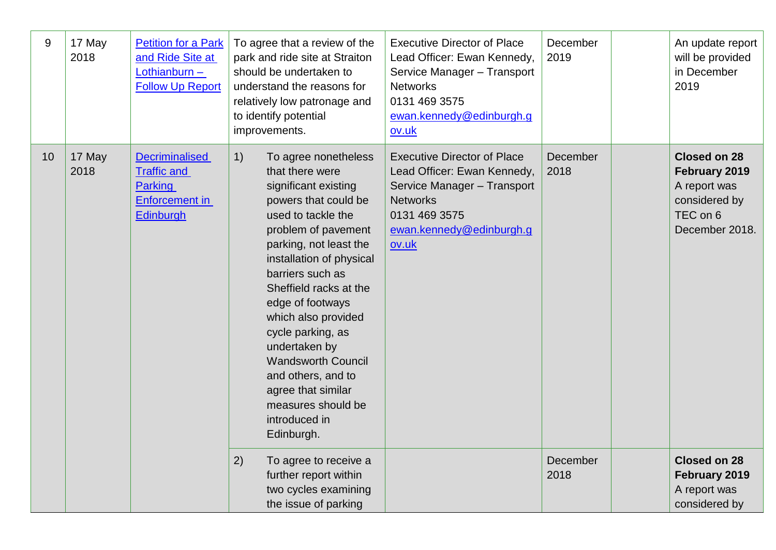| 9  | 17 May<br>2018 | <b>Petition for a Park</b><br>and Ride Site at<br>Lothianburn -<br><b>Follow Up Report</b>          | To agree that a review of the<br>park and ride site at Straiton<br>should be undertaken to<br>understand the reasons for<br>relatively low patronage and<br>to identify potential<br>improvements.                                                                                                                                                                                                                                                            | <b>Executive Director of Place</b><br>Lead Officer: Ewan Kennedy,<br>Service Manager - Transport<br><b>Networks</b><br>0131 469 3575<br>ewan.kennedy@edinburgh.g<br>ov.uk | December<br>2019 | An update report<br>will be provided<br>in December<br>2019                                  |
|----|----------------|-----------------------------------------------------------------------------------------------------|---------------------------------------------------------------------------------------------------------------------------------------------------------------------------------------------------------------------------------------------------------------------------------------------------------------------------------------------------------------------------------------------------------------------------------------------------------------|---------------------------------------------------------------------------------------------------------------------------------------------------------------------------|------------------|----------------------------------------------------------------------------------------------|
| 10 | 17 May<br>2018 | <b>Decriminalised</b><br><b>Traffic and</b><br><b>Parking</b><br>Enforcement in<br><b>Edinburgh</b> | 1)<br>To agree nonetheless<br>that there were<br>significant existing<br>powers that could be<br>used to tackle the<br>problem of pavement<br>parking, not least the<br>installation of physical<br>barriers such as<br>Sheffield racks at the<br>edge of footways<br>which also provided<br>cycle parking, as<br>undertaken by<br><b>Wandsworth Council</b><br>and others, and to<br>agree that similar<br>measures should be<br>introduced in<br>Edinburgh. | <b>Executive Director of Place</b><br>Lead Officer: Ewan Kennedy,<br>Service Manager - Transport<br><b>Networks</b><br>0131 469 3575<br>ewan.kennedy@edinburgh.g<br>ov.uk | December<br>2018 | Closed on 28<br>February 2019<br>A report was<br>considered by<br>TEC on 6<br>December 2018. |
|    |                |                                                                                                     | 2)<br>To agree to receive a<br>further report within<br>two cycles examining<br>the issue of parking                                                                                                                                                                                                                                                                                                                                                          |                                                                                                                                                                           | December<br>2018 | <b>Closed on 28</b><br>February 2019<br>A report was<br>considered by                        |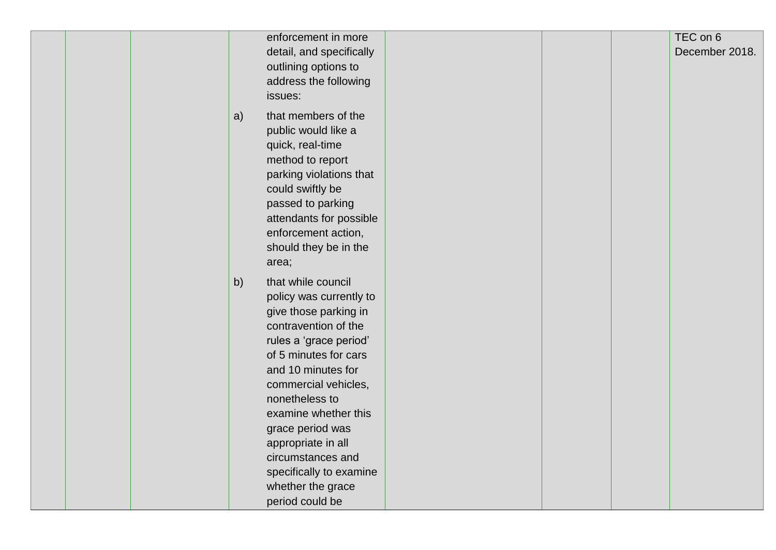| enforcement in more<br>detail, and specifically<br>outlining options to<br>address the following<br>issues:                                                                                                                                                                                                                                                                       | TEC on 6<br>December 2018. |
|-----------------------------------------------------------------------------------------------------------------------------------------------------------------------------------------------------------------------------------------------------------------------------------------------------------------------------------------------------------------------------------|----------------------------|
| that members of the<br>a)<br>public would like a<br>quick, real-time<br>method to report<br>parking violations that<br>could swiftly be<br>passed to parking<br>attendants for possible<br>enforcement action,<br>should they be in the<br>area;                                                                                                                                  |                            |
| that while council<br>b)<br>policy was currently to<br>give those parking in<br>contravention of the<br>rules a 'grace period'<br>of 5 minutes for cars<br>and 10 minutes for<br>commercial vehicles,<br>nonetheless to<br>examine whether this<br>grace period was<br>appropriate in all<br>circumstances and<br>specifically to examine<br>whether the grace<br>period could be |                            |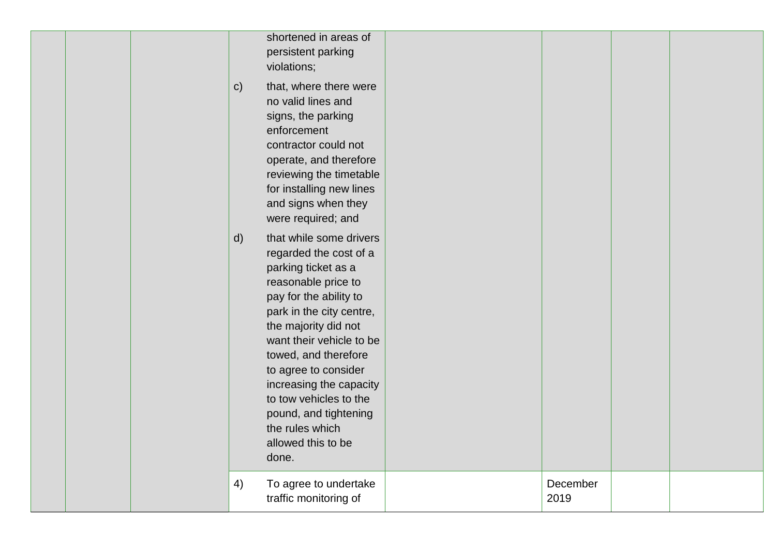| $\mathsf{C}$<br>$\mathsf{d}$ | shortened in areas of<br>persistent parking<br>violations;<br>that, where there were<br>no valid lines and<br>signs, the parking<br>enforcement<br>contractor could not<br>operate, and therefore<br>reviewing the timetable<br>for installing new lines<br>and signs when they<br>were required; and<br>that while some drivers<br>regarded the cost of a<br>parking ticket as a<br>reasonable price to<br>pay for the ability to<br>park in the city centre,<br>the majority did not<br>want their vehicle to be<br>towed, and therefore<br>to agree to consider<br>increasing the capacity<br>to tow vehicles to the<br>pound, and tightening<br>the rules which<br>allowed this to be<br>done. |                  |  |
|------------------------------|----------------------------------------------------------------------------------------------------------------------------------------------------------------------------------------------------------------------------------------------------------------------------------------------------------------------------------------------------------------------------------------------------------------------------------------------------------------------------------------------------------------------------------------------------------------------------------------------------------------------------------------------------------------------------------------------------|------------------|--|
| 4)                           | To agree to undertake<br>traffic monitoring of                                                                                                                                                                                                                                                                                                                                                                                                                                                                                                                                                                                                                                                     | December<br>2019 |  |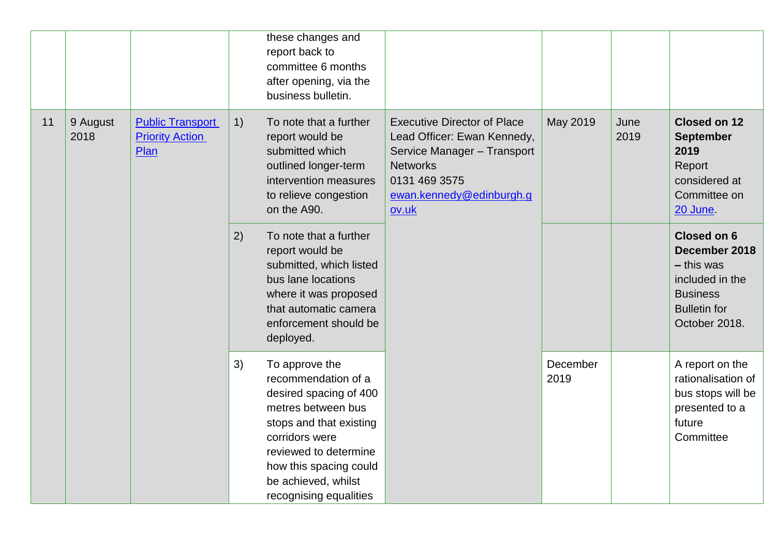|    |                  |                                                           |    | these changes and<br>report back to<br>committee 6 months<br>after opening, via the<br>business bulletin.                                                                                                                              |                                                                                                                                                                           |                  |              |                                                                                                                            |
|----|------------------|-----------------------------------------------------------|----|----------------------------------------------------------------------------------------------------------------------------------------------------------------------------------------------------------------------------------------|---------------------------------------------------------------------------------------------------------------------------------------------------------------------------|------------------|--------------|----------------------------------------------------------------------------------------------------------------------------|
| 11 | 9 August<br>2018 | <b>Public Transport</b><br><b>Priority Action</b><br>Plan | 1) | To note that a further<br>report would be<br>submitted which<br>outlined longer-term<br>intervention measures<br>to relieve congestion<br>on the A90.                                                                                  | <b>Executive Director of Place</b><br>Lead Officer: Ewan Kennedy,<br>Service Manager - Transport<br><b>Networks</b><br>0131 469 3575<br>ewan.kennedy@edinburgh.g<br>ov.uk | May 2019         | June<br>2019 | Closed on 12<br><b>September</b><br>2019<br>Report<br>considered at<br>Committee on<br><b>20 June.</b>                     |
|    |                  |                                                           | 2) | To note that a further<br>report would be<br>submitted, which listed<br>bus lane locations<br>where it was proposed<br>that automatic camera<br>enforcement should be<br>deployed.                                                     |                                                                                                                                                                           |                  |              | Closed on 6<br>December 2018<br>$-$ this was<br>included in the<br><b>Business</b><br><b>Bulletin</b> for<br>October 2018. |
|    |                  |                                                           | 3) | To approve the<br>recommendation of a<br>desired spacing of 400<br>metres between bus<br>stops and that existing<br>corridors were<br>reviewed to determine<br>how this spacing could<br>be achieved, whilst<br>recognising equalities |                                                                                                                                                                           | December<br>2019 |              | A report on the<br>rationalisation of<br>bus stops will be<br>presented to a<br>future<br>Committee                        |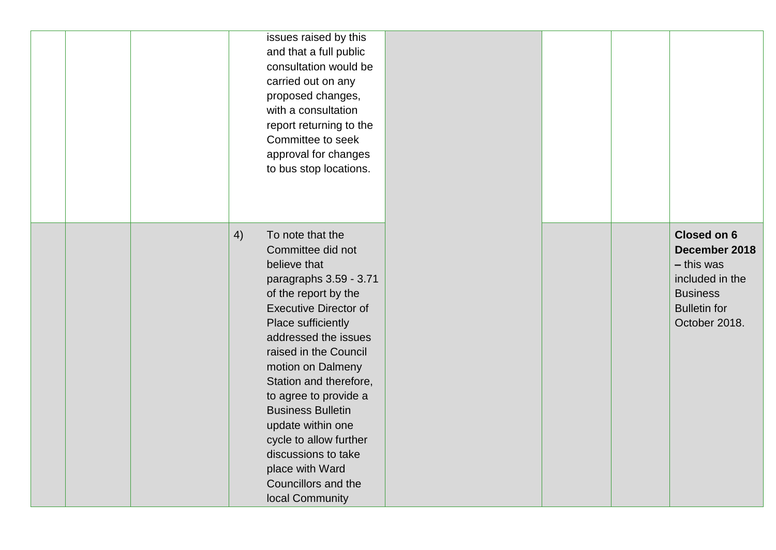|  | issues raised by this<br>and that a full public<br>consultation would be<br>carried out on any<br>proposed changes,<br>with a consultation<br>report returning to the<br>Committee to seek<br>approval for changes<br>to bus stop locations.                                                                                                                                                                                                                |  |                                                                                                                            |
|--|-------------------------------------------------------------------------------------------------------------------------------------------------------------------------------------------------------------------------------------------------------------------------------------------------------------------------------------------------------------------------------------------------------------------------------------------------------------|--|----------------------------------------------------------------------------------------------------------------------------|
|  | 4)<br>To note that the<br>Committee did not<br>believe that<br>paragraphs 3.59 - 3.71<br>of the report by the<br><b>Executive Director of</b><br>Place sufficiently<br>addressed the issues<br>raised in the Council<br>motion on Dalmeny<br>Station and therefore,<br>to agree to provide a<br><b>Business Bulletin</b><br>update within one<br>cycle to allow further<br>discussions to take<br>place with Ward<br>Councillors and the<br>local Community |  | Closed on 6<br>December 2018<br>$-$ this was<br>included in the<br><b>Business</b><br><b>Bulletin for</b><br>October 2018. |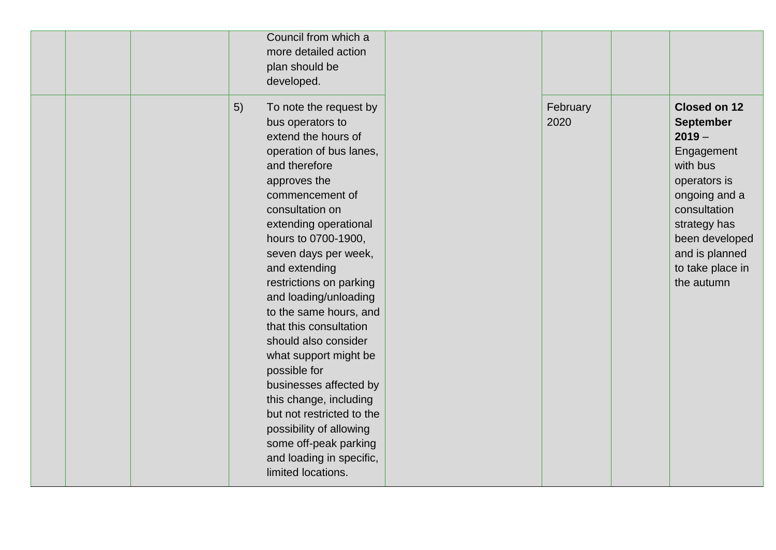| Council from which a<br>more detailed action<br>plan should be<br>developed.                                                                                                                                                                                                                                                                                                                                                                                                                                                                                                                                                       |                  |                                                                                                                                                                                                               |
|------------------------------------------------------------------------------------------------------------------------------------------------------------------------------------------------------------------------------------------------------------------------------------------------------------------------------------------------------------------------------------------------------------------------------------------------------------------------------------------------------------------------------------------------------------------------------------------------------------------------------------|------------------|---------------------------------------------------------------------------------------------------------------------------------------------------------------------------------------------------------------|
| 5)<br>To note the request by<br>bus operators to<br>extend the hours of<br>operation of bus lanes,<br>and therefore<br>approves the<br>commencement of<br>consultation on<br>extending operational<br>hours to 0700-1900,<br>seven days per week,<br>and extending<br>restrictions on parking<br>and loading/unloading<br>to the same hours, and<br>that this consultation<br>should also consider<br>what support might be<br>possible for<br>businesses affected by<br>this change, including<br>but not restricted to the<br>possibility of allowing<br>some off-peak parking<br>and loading in specific,<br>limited locations. | February<br>2020 | Closed on 12<br><b>September</b><br>$2019 -$<br>Engagement<br>with bus<br>operators is<br>ongoing and a<br>consultation<br>strategy has<br>been developed<br>and is planned<br>to take place in<br>the autumn |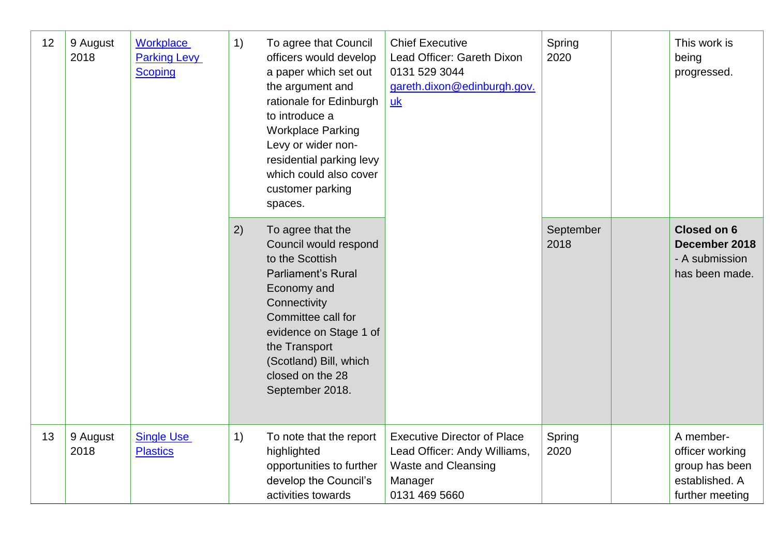| 12 | 9 August<br>2018 | Workplace<br><b>Parking Levy</b><br><b>Scoping</b> | 1)<br>To agree that Council<br>officers would develop<br>a paper which set out<br>0131 529 3044<br>the argument and<br>rationale for Edinburgh<br><b>uk</b><br>to introduce a<br><b>Workplace Parking</b><br>Levy or wider non-<br>residential parking levy<br>which could also cover<br>customer parking<br>spaces. |                                                                                                                                                                                                                                                             | <b>Chief Executive</b><br>Lead Officer: Gareth Dixon<br>gareth.dixon@edinburgh.gov.                                          | Spring<br>2020    | This work is<br>being<br>progressed.                                                |
|----|------------------|----------------------------------------------------|----------------------------------------------------------------------------------------------------------------------------------------------------------------------------------------------------------------------------------------------------------------------------------------------------------------------|-------------------------------------------------------------------------------------------------------------------------------------------------------------------------------------------------------------------------------------------------------------|------------------------------------------------------------------------------------------------------------------------------|-------------------|-------------------------------------------------------------------------------------|
|    |                  |                                                    | 2)                                                                                                                                                                                                                                                                                                                   | To agree that the<br>Council would respond<br>to the Scottish<br><b>Parliament's Rural</b><br>Economy and<br>Connectivity<br>Committee call for<br>evidence on Stage 1 of<br>the Transport<br>(Scotland) Bill, which<br>closed on the 28<br>September 2018. |                                                                                                                              | September<br>2018 | <b>Closed on 6</b><br>December 2018<br>- A submission<br>has been made.             |
| 13 | 9 August<br>2018 | <b>Single Use</b><br><b>Plastics</b>               | 1)                                                                                                                                                                                                                                                                                                                   | To note that the report<br>highlighted<br>opportunities to further<br>develop the Council's<br>activities towards                                                                                                                                           | <b>Executive Director of Place</b><br>Lead Officer: Andy Williams,<br><b>Waste and Cleansing</b><br>Manager<br>0131 469 5660 | Spring<br>2020    | A member-<br>officer working<br>group has been<br>established. A<br>further meeting |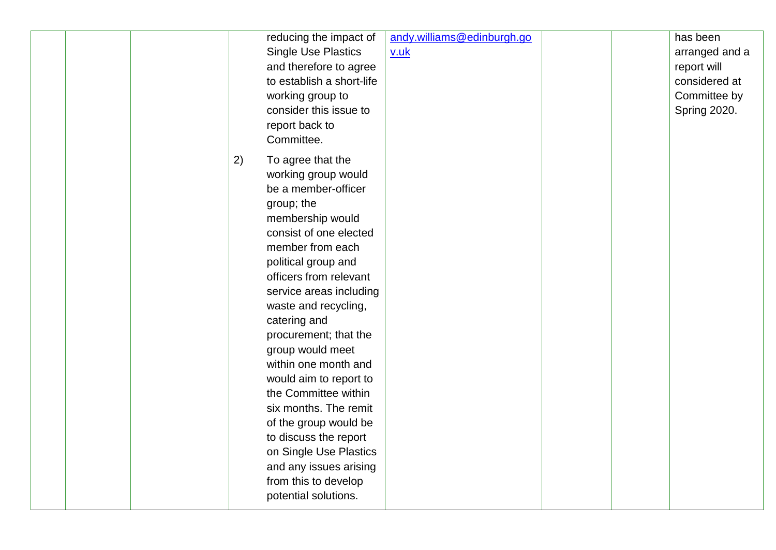| reducing the impact of<br><b>Single Use Plastics</b><br>and therefore to agree<br>to establish a short-life<br>working group to<br>consider this issue to<br>report back to<br>Committee.                                                                                                                                                                                                                                                                                                                                                                                       | andy.williams@edinburgh.go<br>v.uk | has been<br>arranged and a<br>report will<br>considered at<br>Committee by<br>Spring 2020. |
|---------------------------------------------------------------------------------------------------------------------------------------------------------------------------------------------------------------------------------------------------------------------------------------------------------------------------------------------------------------------------------------------------------------------------------------------------------------------------------------------------------------------------------------------------------------------------------|------------------------------------|--------------------------------------------------------------------------------------------|
| To agree that the<br>2)<br>working group would<br>be a member-officer<br>group; the<br>membership would<br>consist of one elected<br>member from each<br>political group and<br>officers from relevant<br>service areas including<br>waste and recycling,<br>catering and<br>procurement; that the<br>group would meet<br>within one month and<br>would aim to report to<br>the Committee within<br>six months. The remit<br>of the group would be<br>to discuss the report<br>on Single Use Plastics<br>and any issues arising<br>from this to develop<br>potential solutions. |                                    |                                                                                            |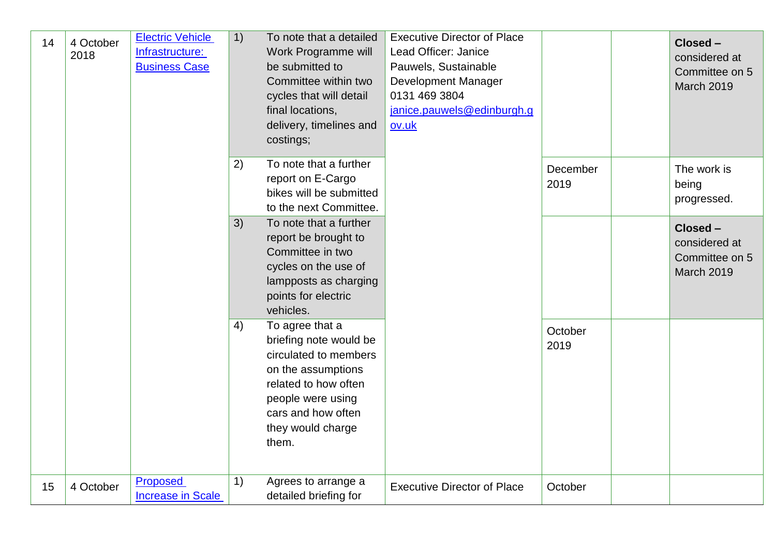| 14 | 4 October<br>2018 | <b>Electric Vehicle</b><br>Infrastructure:<br><b>Business Case</b> | 1) | To note that a detailed<br>Work Programme will<br>be submitted to<br>Committee within two<br>cycles that will detail<br>final locations,<br>delivery, timelines and<br>costings;          | <b>Executive Director of Place</b><br>Lead Officer: Janice<br>Pauwels, Sustainable<br><b>Development Manager</b><br>0131 469 3804<br>janice.pauwels@edinburgh.g<br>ov.uk |                  | Closed -<br>considered at<br>Committee on 5<br>March 2019        |
|----|-------------------|--------------------------------------------------------------------|----|-------------------------------------------------------------------------------------------------------------------------------------------------------------------------------------------|--------------------------------------------------------------------------------------------------------------------------------------------------------------------------|------------------|------------------------------------------------------------------|
|    |                   |                                                                    | 2) | To note that a further<br>report on E-Cargo<br>bikes will be submitted<br>to the next Committee.                                                                                          |                                                                                                                                                                          | December<br>2019 | The work is<br>being<br>progressed.                              |
|    |                   |                                                                    | 3) | To note that a further<br>report be brought to<br>Committee in two<br>cycles on the use of<br>lampposts as charging<br>points for electric<br>vehicles.                                   |                                                                                                                                                                          |                  | Closed -<br>considered at<br>Committee on 5<br><b>March 2019</b> |
|    |                   |                                                                    | 4) | To agree that a<br>briefing note would be<br>circulated to members<br>on the assumptions<br>related to how often<br>people were using<br>cars and how often<br>they would charge<br>them. |                                                                                                                                                                          | October<br>2019  |                                                                  |
| 15 | 4 October         | <b>Proposed</b><br><b>Increase in Scale</b>                        | 1) | Agrees to arrange a<br>detailed briefing for                                                                                                                                              | <b>Executive Director of Place</b>                                                                                                                                       | October          |                                                                  |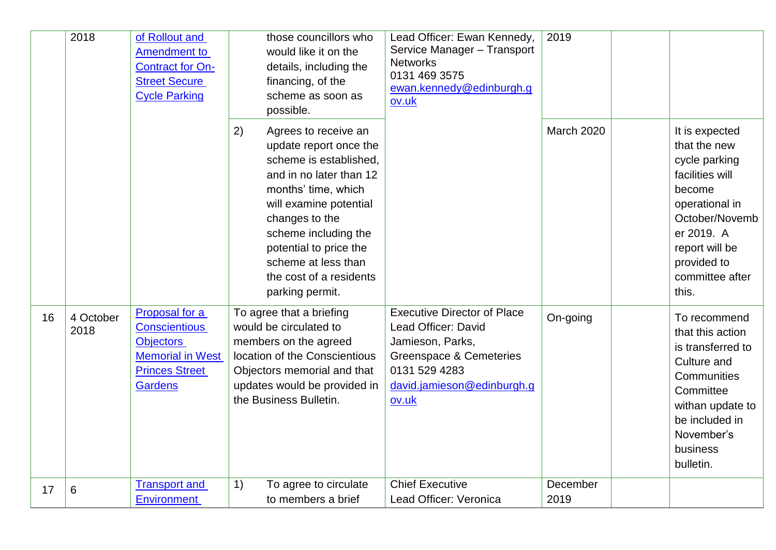|    | 2018              | of Rollout and<br><b>Amendment to</b><br><b>Contract for On-</b><br><b>Street Secure</b><br><b>Cycle Parking</b>                 | those councillors who<br>would like it on the<br>details, including the<br>financing, of the<br>scheme as soon as<br>possible.                                                                                                                                                                      | Lead Officer: Ewan Kennedy,<br>Service Manager - Transport<br><b>Networks</b><br>0131 469 3575<br>ewan.kennedy@edinburgh.g<br>ov.uk                                         | 2019              |                                                                                                                                                                                             |
|----|-------------------|----------------------------------------------------------------------------------------------------------------------------------|-----------------------------------------------------------------------------------------------------------------------------------------------------------------------------------------------------------------------------------------------------------------------------------------------------|-----------------------------------------------------------------------------------------------------------------------------------------------------------------------------|-------------------|---------------------------------------------------------------------------------------------------------------------------------------------------------------------------------------------|
|    |                   |                                                                                                                                  | 2)<br>Agrees to receive an<br>update report once the<br>scheme is established.<br>and in no later than 12<br>months' time, which<br>will examine potential<br>changes to the<br>scheme including the<br>potential to price the<br>scheme at less than<br>the cost of a residents<br>parking permit. |                                                                                                                                                                             | <b>March 2020</b> | It is expected<br>that the new<br>cycle parking<br>facilities will<br>become<br>operational in<br>October/Novemb<br>er 2019. A<br>report will be<br>provided to<br>committee after<br>this. |
| 16 | 4 October<br>2018 | Proposal for a<br><b>Conscientious</b><br><b>Objectors</b><br><b>Memorial in West</b><br><b>Princes Street</b><br><b>Gardens</b> | To agree that a briefing<br>would be circulated to<br>members on the agreed<br>location of the Conscientious<br>Objectors memorial and that<br>updates would be provided in<br>the Business Bulletin.                                                                                               | <b>Executive Director of Place</b><br>Lead Officer: David<br>Jamieson, Parks,<br><b>Greenspace &amp; Cemeteries</b><br>0131 529 4283<br>david.jamieson@edinburgh.g<br>ov.uk | On-going          | To recommend<br>that this action<br>is transferred to<br>Culture and<br>Communities<br>Committee<br>withan update to<br>be included in<br>November's<br>business<br>bulletin.               |
| 17 | 6                 | <b>Transport and</b><br><b>Environment</b>                                                                                       | To agree to circulate<br>1)<br>to members a brief                                                                                                                                                                                                                                                   | <b>Chief Executive</b><br>Lead Officer: Veronica                                                                                                                            | December<br>2019  |                                                                                                                                                                                             |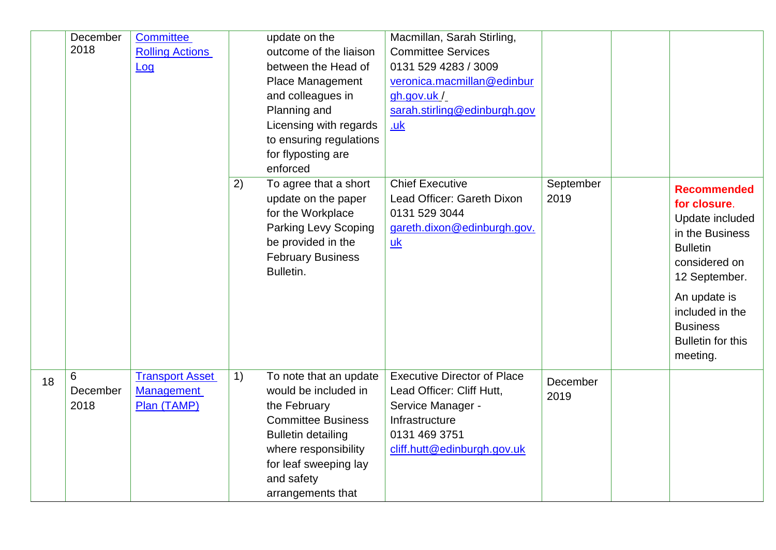|    | December | <b>Committee</b>       |    | update on the                                | Macmillan, Sarah Stirling,                           |                   |                                    |
|----|----------|------------------------|----|----------------------------------------------|------------------------------------------------------|-------------------|------------------------------------|
|    | 2018     | <b>Rolling Actions</b> |    | outcome of the liaison                       | <b>Committee Services</b>                            |                   |                                    |
|    |          | Log                    |    | between the Head of                          | 0131 529 4283 / 3009                                 |                   |                                    |
|    |          |                        |    | <b>Place Management</b>                      | veronica.macmillan@edinbur                           |                   |                                    |
|    |          |                        |    | and colleagues in                            | gh.gov.uk/                                           |                   |                                    |
|    |          |                        |    | Planning and                                 | sarah.stirling@edinburgh.gov                         |                   |                                    |
|    |          |                        |    | Licensing with regards                       | .uk                                                  |                   |                                    |
|    |          |                        |    | to ensuring regulations                      |                                                      |                   |                                    |
|    |          |                        |    | for flyposting are                           |                                                      |                   |                                    |
|    |          |                        |    | enforced                                     |                                                      |                   |                                    |
|    |          |                        | 2) | To agree that a short<br>update on the paper | <b>Chief Executive</b><br>Lead Officer: Gareth Dixon | September<br>2019 | <b>Recommended</b><br>for closure. |
|    |          |                        |    | for the Workplace                            | 0131 529 3044                                        |                   | Update included                    |
|    |          |                        |    | <b>Parking Levy Scoping</b>                  | gareth.dixon@edinburgh.gov.                          |                   | in the Business                    |
|    |          |                        |    | be provided in the                           | uk                                                   |                   | <b>Bulletin</b>                    |
|    |          |                        |    | <b>February Business</b>                     |                                                      |                   | considered on                      |
|    |          |                        |    | Bulletin.                                    |                                                      |                   | 12 September.                      |
|    |          |                        |    |                                              |                                                      |                   | An update is                       |
|    |          |                        |    |                                              |                                                      |                   | included in the                    |
|    |          |                        |    |                                              |                                                      |                   | <b>Business</b>                    |
|    |          |                        |    |                                              |                                                      |                   | <b>Bulletin for this</b>           |
|    |          |                        |    |                                              |                                                      |                   | meeting.                           |
| 18 | 6        | <b>Transport Asset</b> | 1) | To note that an update                       | <b>Executive Director of Place</b>                   | December          |                                    |
|    | December | <b>Management</b>      |    | would be included in                         | Lead Officer: Cliff Hutt,                            | 2019              |                                    |
|    | 2018     | Plan (TAMP)            |    | the February                                 | Service Manager -                                    |                   |                                    |
|    |          |                        |    | <b>Committee Business</b>                    | Infrastructure                                       |                   |                                    |
|    |          |                        |    | <b>Bulletin detailing</b>                    | 0131 469 3751                                        |                   |                                    |
|    |          |                        |    | where responsibility                         | cliff.hutt@edinburgh.gov.uk                          |                   |                                    |
|    |          |                        |    | for leaf sweeping lay                        |                                                      |                   |                                    |
|    |          |                        |    | and safety                                   |                                                      |                   |                                    |
|    |          |                        |    | arrangements that                            |                                                      |                   |                                    |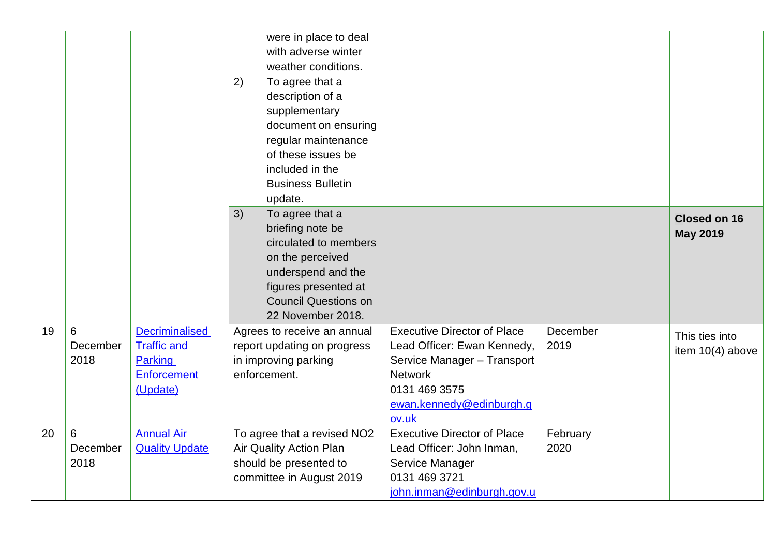|    |          |                       |    | were in place to deal<br>with adverse winter |                                    |          |                     |
|----|----------|-----------------------|----|----------------------------------------------|------------------------------------|----------|---------------------|
|    |          |                       |    | weather conditions.                          |                                    |          |                     |
|    |          |                       | 2) | To agree that a                              |                                    |          |                     |
|    |          |                       |    | description of a                             |                                    |          |                     |
|    |          |                       |    | supplementary                                |                                    |          |                     |
|    |          |                       |    | document on ensuring                         |                                    |          |                     |
|    |          |                       |    | regular maintenance                          |                                    |          |                     |
|    |          |                       |    | of these issues be                           |                                    |          |                     |
|    |          |                       |    | included in the                              |                                    |          |                     |
|    |          |                       |    | <b>Business Bulletin</b>                     |                                    |          |                     |
|    |          |                       |    | update.                                      |                                    |          |                     |
|    |          |                       | 3) | To agree that a                              |                                    |          | <b>Closed on 16</b> |
|    |          |                       |    | briefing note be                             |                                    |          | <b>May 2019</b>     |
|    |          |                       |    | circulated to members                        |                                    |          |                     |
|    |          |                       |    | on the perceived                             |                                    |          |                     |
|    |          |                       |    | underspend and the                           |                                    |          |                     |
|    |          |                       |    | figures presented at                         |                                    |          |                     |
|    |          |                       |    | <b>Council Questions on</b>                  |                                    |          |                     |
|    |          |                       |    | 22 November 2018.                            |                                    |          |                     |
| 19 | 6        | <b>Decriminalised</b> |    | Agrees to receive an annual                  | <b>Executive Director of Place</b> | December | This ties into      |
|    | December | <b>Traffic and</b>    |    | report updating on progress                  | Lead Officer: Ewan Kennedy,        | 2019     | item 10(4) above    |
|    | 2018     | Parking               |    | in improving parking                         | Service Manager - Transport        |          |                     |
|    |          | <b>Enforcement</b>    |    | enforcement.                                 | <b>Network</b>                     |          |                     |
|    |          | (Update)              |    |                                              | 0131 469 3575                      |          |                     |
|    |          |                       |    |                                              | ewan.kennedy@edinburgh.g           |          |                     |
|    |          |                       |    |                                              | ov.uk                              |          |                     |
| 20 | 6        | <b>Annual Air</b>     |    | To agree that a revised NO2                  | <b>Executive Director of Place</b> | February |                     |
|    | December | <b>Quality Update</b> |    | Air Quality Action Plan                      | Lead Officer: John Inman,          | 2020     |                     |
|    | 2018     |                       |    | should be presented to                       | Service Manager                    |          |                     |
|    |          |                       |    | committee in August 2019                     | 0131 469 3721                      |          |                     |
|    |          |                       |    |                                              | john.inman@edinburgh.gov.u         |          |                     |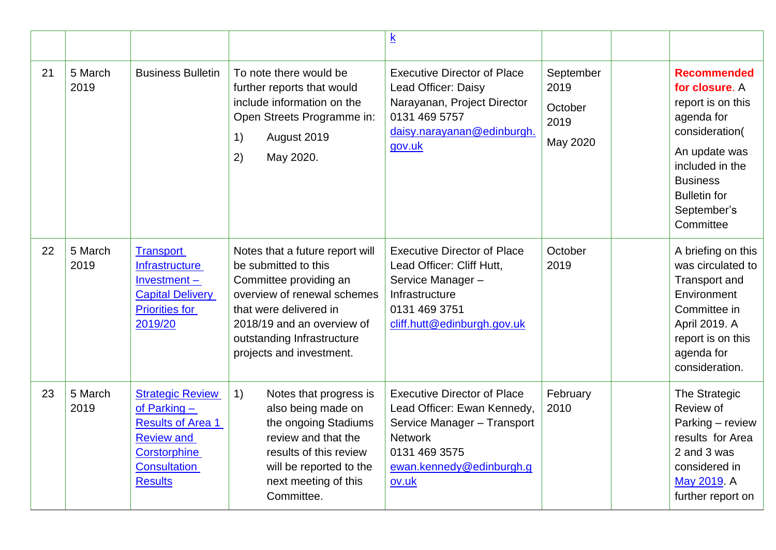|    |                 |                                                                                                                                                     |                                                                                                                                                                                                                                    | $\underline{\mathbf{k}}$                                                                                                                                                 |                                                  |                                                                                                                                                                                                     |
|----|-----------------|-----------------------------------------------------------------------------------------------------------------------------------------------------|------------------------------------------------------------------------------------------------------------------------------------------------------------------------------------------------------------------------------------|--------------------------------------------------------------------------------------------------------------------------------------------------------------------------|--------------------------------------------------|-----------------------------------------------------------------------------------------------------------------------------------------------------------------------------------------------------|
| 21 | 5 March<br>2019 | <b>Business Bulletin</b>                                                                                                                            | To note there would be<br>further reports that would<br>include information on the<br>Open Streets Programme in:<br>August 2019<br>1)<br>May 2020.<br>2)                                                                           | <b>Executive Director of Place</b><br>Lead Officer: Daisy<br>Narayanan, Project Director<br>0131 469 5757<br>daisy.narayanan@edinburgh.<br>gov.uk                        | September<br>2019<br>October<br>2019<br>May 2020 | <b>Recommended</b><br>for closure. A<br>report is on this<br>agenda for<br>consideration(<br>An update was<br>included in the<br><b>Business</b><br><b>Bulletin for</b><br>September's<br>Committee |
| 22 | 5 March<br>2019 | <b>Transport</b><br>Infrastructure<br>Investment-<br><b>Capital Delivery</b><br><b>Priorities for</b><br>2019/20                                    | Notes that a future report will<br>be submitted to this<br>Committee providing an<br>overview of renewal schemes<br>that were delivered in<br>2018/19 and an overview of<br>outstanding Infrastructure<br>projects and investment. | <b>Executive Director of Place</b><br>Lead Officer: Cliff Hutt,<br>Service Manager-<br>Infrastructure<br>0131 469 3751<br>cliff.hutt@edinburgh.gov.uk                    | October<br>2019                                  | A briefing on this<br>was circulated to<br><b>Transport and</b><br>Environment<br>Committee in<br>April 2019. A<br>report is on this<br>agenda for<br>consideration.                                |
| 23 | 5 March<br>2019 | <b>Strategic Review</b><br>of Parking $-$<br><b>Results of Area 1</b><br><b>Review and</b><br>Corstorphine<br><b>Consultation</b><br><b>Results</b> | 1)<br>Notes that progress is<br>also being made on<br>the ongoing Stadiums<br>review and that the<br>results of this review<br>will be reported to the<br>next meeting of this<br>Committee.                                       | <b>Executive Director of Place</b><br>Lead Officer: Ewan Kennedy,<br>Service Manager - Transport<br><b>Network</b><br>0131 469 3575<br>ewan.kennedy@edinburgh.g<br>ov.uk | February<br>2010                                 | The Strategic<br>Review of<br>Parking - review<br>results for Area<br>2 and 3 was<br>considered in<br>May 2019. A<br>further report on                                                              |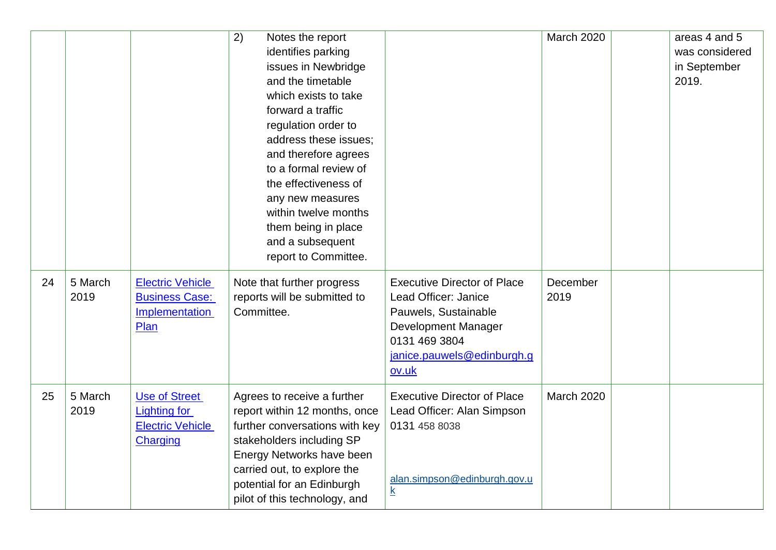|    |                 |                                                                                    | 2)<br>Notes the report<br>identifies parking<br>issues in Newbridge<br>and the timetable<br>which exists to take<br>forward a traffic<br>regulation order to<br>address these issues;<br>and therefore agrees<br>to a formal review of<br>the effectiveness of<br>any new measures<br>within twelve months<br>them being in place<br>and a subsequent<br>report to Committee. |                                                                                                                                                                   | March 2020       | areas 4 and 5<br>was considered<br>in September<br>2019. |
|----|-----------------|------------------------------------------------------------------------------------|-------------------------------------------------------------------------------------------------------------------------------------------------------------------------------------------------------------------------------------------------------------------------------------------------------------------------------------------------------------------------------|-------------------------------------------------------------------------------------------------------------------------------------------------------------------|------------------|----------------------------------------------------------|
| 24 | 5 March<br>2019 | <b>Electric Vehicle</b><br><b>Business Case:</b><br>Implementation<br>Plan         | Note that further progress<br>reports will be submitted to<br>Committee.                                                                                                                                                                                                                                                                                                      | <b>Executive Director of Place</b><br>Lead Officer: Janice<br>Pauwels, Sustainable<br>Development Manager<br>0131 469 3804<br>janice.pauwels@edinburgh.g<br>ov.uk | December<br>2019 |                                                          |
| 25 | 5 March<br>2019 | <b>Use of Street</b><br><b>Lighting for</b><br><b>Electric Vehicle</b><br>Charging | Agrees to receive a further<br>report within 12 months, once<br>further conversations with key<br>stakeholders including SP<br>Energy Networks have been<br>carried out, to explore the<br>potential for an Edinburgh<br>pilot of this technology, and                                                                                                                        | <b>Executive Director of Place</b><br>Lead Officer: Alan Simpson<br>0131 458 8038<br>alan.simpson@edinburgh.gov.u<br>$\underline{k}$                              | March 2020       |                                                          |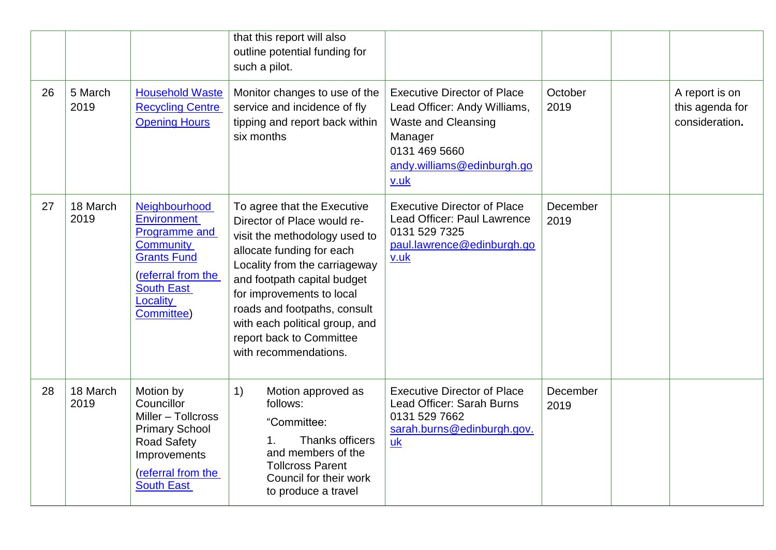|    |                  |                                                                                                                                                                            | that this report will also<br>outline potential funding for<br>such a pilot.                                                                                                                                                                                                                                                                 |                                                                                                                                                                    |                  |                                                     |
|----|------------------|----------------------------------------------------------------------------------------------------------------------------------------------------------------------------|----------------------------------------------------------------------------------------------------------------------------------------------------------------------------------------------------------------------------------------------------------------------------------------------------------------------------------------------|--------------------------------------------------------------------------------------------------------------------------------------------------------------------|------------------|-----------------------------------------------------|
| 26 | 5 March<br>2019  | <b>Household Waste</b><br><b>Recycling Centre</b><br><b>Opening Hours</b>                                                                                                  | Monitor changes to use of the<br>service and incidence of fly<br>tipping and report back within<br>six months                                                                                                                                                                                                                                | <b>Executive Director of Place</b><br>Lead Officer: Andy Williams,<br><b>Waste and Cleansing</b><br>Manager<br>0131 469 5660<br>andy.williams@edinburgh.go<br>v.uk | October<br>2019  | A report is on<br>this agenda for<br>consideration. |
| 27 | 18 March<br>2019 | Neighbourhood<br><b>Environment</b><br><b>Programme and</b><br><b>Community</b><br><b>Grants Fund</b><br>(referral from the<br><b>South East</b><br>Locality<br>Committee) | To agree that the Executive<br>Director of Place would re-<br>visit the methodology used to<br>allocate funding for each<br>Locality from the carriageway<br>and footpath capital budget<br>for improvements to local<br>roads and footpaths, consult<br>with each political group, and<br>report back to Committee<br>with recommendations. | <b>Executive Director of Place</b><br>Lead Officer: Paul Lawrence<br>0131 529 7325<br>paul.lawrence@edinburgh.go<br>v.uk                                           | December<br>2019 |                                                     |
| 28 | 18 March<br>2019 | Motion by<br>Councillor<br>Miller - Tollcross<br><b>Primary School</b><br><b>Road Safety</b><br>Improvements<br>(referral from the<br><b>South East</b>                    | 1)<br>Motion approved as<br>follows:<br>"Committee:<br>Thanks officers<br>1 <sub>1</sub><br>and members of the<br><b>Tollcross Parent</b><br>Council for their work<br>to produce a travel                                                                                                                                                   | <b>Executive Director of Place</b><br>Lead Officer: Sarah Burns<br>0131 529 7662<br>sarah.burns@edinburgh.gov.<br>uk                                               | December<br>2019 |                                                     |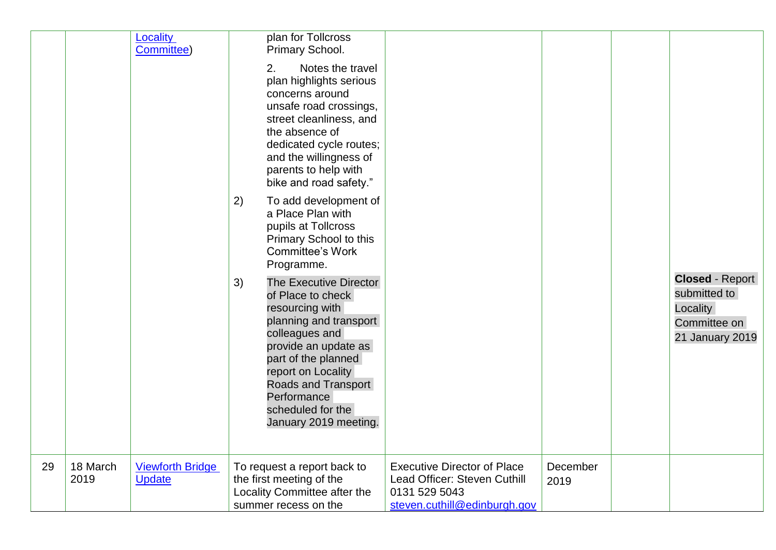|    |                  | <b>Locality</b><br>Committee)            | 2)<br>3) | plan for Tollcross<br>Primary School.<br>Notes the travel<br>2.<br>plan highlights serious<br>concerns around<br>unsafe road crossings,<br>street cleanliness, and<br>the absence of<br>dedicated cycle routes;<br>and the willingness of<br>parents to help with<br>bike and road safety."<br>To add development of<br>a Place Plan with<br>pupils at Tollcross<br>Primary School to this<br><b>Committee's Work</b><br>Programme.<br>The Executive Director<br>of Place to check<br>resourcing with<br>planning and transport<br>colleagues and<br>provide an update as<br>part of the planned<br>report on Locality<br>Roads and Transport<br>Performance<br>scheduled for the<br>January 2019 meeting. |                                                                                                                     |                  | <b>Closed - Report</b><br>submitted to<br>Locality<br>Committee on<br>21 January 2019 |
|----|------------------|------------------------------------------|----------|------------------------------------------------------------------------------------------------------------------------------------------------------------------------------------------------------------------------------------------------------------------------------------------------------------------------------------------------------------------------------------------------------------------------------------------------------------------------------------------------------------------------------------------------------------------------------------------------------------------------------------------------------------------------------------------------------------|---------------------------------------------------------------------------------------------------------------------|------------------|---------------------------------------------------------------------------------------|
| 29 | 18 March<br>2019 | <b>Viewforth Bridge</b><br><b>Update</b> |          | To request a report back to<br>the first meeting of the<br>Locality Committee after the<br>summer recess on the                                                                                                                                                                                                                                                                                                                                                                                                                                                                                                                                                                                            | <b>Executive Director of Place</b><br>Lead Officer: Steven Cuthill<br>0131 529 5043<br>steven.cuthill@edinburgh.gov | December<br>2019 |                                                                                       |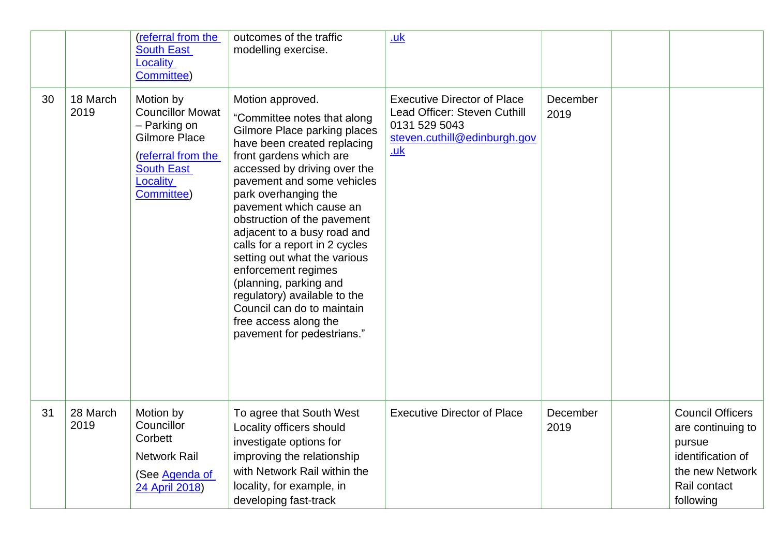|    |                  | (referral from the<br><b>South East</b><br>Locality<br>Committee)                                                                                 | outcomes of the traffic<br>modelling exercise.                                                                                                                                                                                                                                                                                                                                                                                                                                                                                                                   | <u>.uk</u>                                                                                                                        |                  |                                                                                                                             |
|----|------------------|---------------------------------------------------------------------------------------------------------------------------------------------------|------------------------------------------------------------------------------------------------------------------------------------------------------------------------------------------------------------------------------------------------------------------------------------------------------------------------------------------------------------------------------------------------------------------------------------------------------------------------------------------------------------------------------------------------------------------|-----------------------------------------------------------------------------------------------------------------------------------|------------------|-----------------------------------------------------------------------------------------------------------------------------|
| 30 | 18 March<br>2019 | Motion by<br><b>Councillor Mowat</b><br>- Parking on<br><b>Gilmore Place</b><br>(referral from the<br><b>South East</b><br>Locality<br>Committee) | Motion approved.<br>"Committee notes that along<br>Gilmore Place parking places<br>have been created replacing<br>front gardens which are<br>accessed by driving over the<br>pavement and some vehicles<br>park overhanging the<br>pavement which cause an<br>obstruction of the pavement<br>adjacent to a busy road and<br>calls for a report in 2 cycles<br>setting out what the various<br>enforcement regimes<br>(planning, parking and<br>regulatory) available to the<br>Council can do to maintain<br>free access along the<br>pavement for pedestrians." | <b>Executive Director of Place</b><br>Lead Officer: Steven Cuthill<br>0131 529 5043<br>steven.cuthill@edinburgh.gov<br><u>.uk</u> | December<br>2019 |                                                                                                                             |
| 31 | 28 March<br>2019 | Motion by<br>Councillor<br>Corbett<br><b>Network Rail</b><br>(See Agenda of<br>24 April 2018)                                                     | To agree that South West<br>Locality officers should<br>investigate options for<br>improving the relationship<br>with Network Rail within the<br>locality, for example, in<br>developing fast-track                                                                                                                                                                                                                                                                                                                                                              | <b>Executive Director of Place</b>                                                                                                | December<br>2019 | <b>Council Officers</b><br>are continuing to<br>pursue<br>identification of<br>the new Network<br>Rail contact<br>following |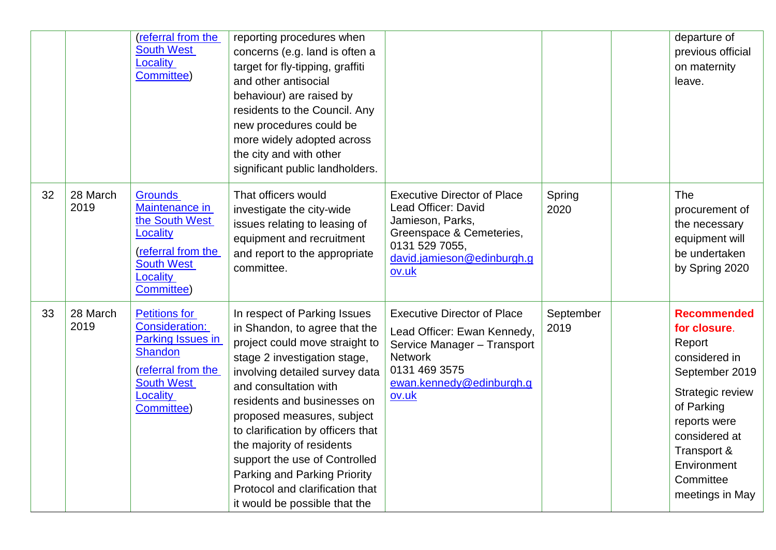|    |                  | (referral from the<br><b>South West</b><br>Locality<br>Committee)                                                                                         | reporting procedures when<br>concerns (e.g. land is often a<br>target for fly-tipping, graffiti<br>and other antisocial<br>behaviour) are raised by<br>residents to the Council. Any<br>new procedures could be<br>more widely adopted across<br>the city and with other<br>significant public landholders.                                                                                                                                                    |                                                                                                                                                                           |                   | departure of<br>previous official<br>on maternity<br>leave.                                                                                                                                                      |
|----|------------------|-----------------------------------------------------------------------------------------------------------------------------------------------------------|----------------------------------------------------------------------------------------------------------------------------------------------------------------------------------------------------------------------------------------------------------------------------------------------------------------------------------------------------------------------------------------------------------------------------------------------------------------|---------------------------------------------------------------------------------------------------------------------------------------------------------------------------|-------------------|------------------------------------------------------------------------------------------------------------------------------------------------------------------------------------------------------------------|
| 32 | 28 March<br>2019 | <b>Grounds</b><br>Maintenance in<br>the South West<br>Locality<br>(referral from the<br><b>South West</b><br>Locality<br>Committee)                       | That officers would<br>investigate the city-wide<br>issues relating to leasing of<br>equipment and recruitment<br>and report to the appropriate<br>committee.                                                                                                                                                                                                                                                                                                  | <b>Executive Director of Place</b><br>Lead Officer: David<br>Jamieson, Parks,<br>Greenspace & Cemeteries,<br>0131 529 7055,<br>david.jamieson@edinburgh.g<br><u>ov.uk</u> | Spring<br>2020    | <b>The</b><br>procurement of<br>the necessary<br>equipment will<br>be undertaken<br>by Spring 2020                                                                                                               |
| 33 | 28 March<br>2019 | <b>Petitions for</b><br><b>Consideration:</b><br>Parking Issues in<br><b>Shandon</b><br>(referral from the<br><b>South West</b><br>Locality<br>Committee) | In respect of Parking Issues<br>in Shandon, to agree that the<br>project could move straight to<br>stage 2 investigation stage,<br>involving detailed survey data<br>and consultation with<br>residents and businesses on<br>proposed measures, subject<br>to clarification by officers that<br>the majority of residents<br>support the use of Controlled<br>Parking and Parking Priority<br>Protocol and clarification that<br>it would be possible that the | <b>Executive Director of Place</b><br>Lead Officer: Ewan Kennedy,<br>Service Manager - Transport<br><b>Network</b><br>0131 469 3575<br>ewan.kennedy@edinburgh.g<br>ov.uk  | September<br>2019 | <b>Recommended</b><br>for closure.<br>Report<br>considered in<br>September 2019<br>Strategic review<br>of Parking<br>reports were<br>considered at<br>Transport &<br>Environment<br>Committee<br>meetings in May |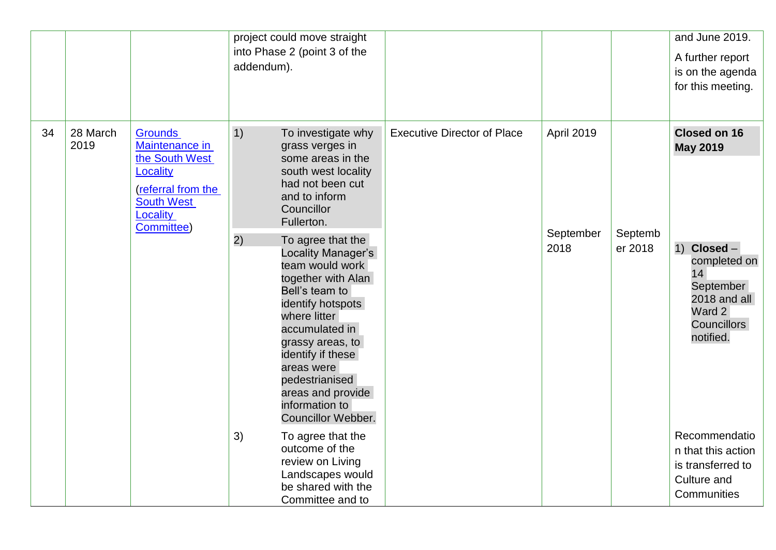|    |                  |                                                                                                                                            | project could move straight<br>into Phase 2 (point 3 of the<br>addendum).                                                                                                                                                                                                                                                                                                                                                                                                |                                    |                                 |                    | and June 2019.<br>A further report<br>is on the agenda<br>for this meeting.                                                                              |
|----|------------------|--------------------------------------------------------------------------------------------------------------------------------------------|--------------------------------------------------------------------------------------------------------------------------------------------------------------------------------------------------------------------------------------------------------------------------------------------------------------------------------------------------------------------------------------------------------------------------------------------------------------------------|------------------------------------|---------------------------------|--------------------|----------------------------------------------------------------------------------------------------------------------------------------------------------|
| 34 | 28 March<br>2019 | <b>Grounds</b><br>Maintenance in<br>the South West<br><b>Locality</b><br>(referral from the<br><b>South West</b><br>Locality<br>Committee) | 1)<br>To investigate why<br>grass verges in<br>some areas in the<br>south west locality<br>had not been cut<br>and to inform<br>Councillor<br>Fullerton.<br>2)<br>To agree that the<br>Locality Manager's<br>team would work<br>together with Alan<br>Bell's team to<br>identify hotspots<br>where litter<br>accumulated in<br>grassy areas, to<br>identify if these<br>areas were<br>pedestrianised<br>areas and provide<br>information to<br><b>Councillor Webber.</b> | <b>Executive Director of Place</b> | April 2019<br>September<br>2018 | Septemb<br>er 2018 | <b>Closed on 16</b><br><b>May 2019</b><br>Closed -<br>1)<br>completed on<br>14<br>September<br>2018 and all<br>Ward 2<br><b>Councillors</b><br>notified. |
|    |                  |                                                                                                                                            | 3)<br>To agree that the<br>outcome of the<br>review on Living<br>Landscapes would<br>be shared with the<br>Committee and to                                                                                                                                                                                                                                                                                                                                              |                                    |                                 |                    | Recommendatio<br>n that this action<br>is transferred to<br>Culture and<br>Communities                                                                   |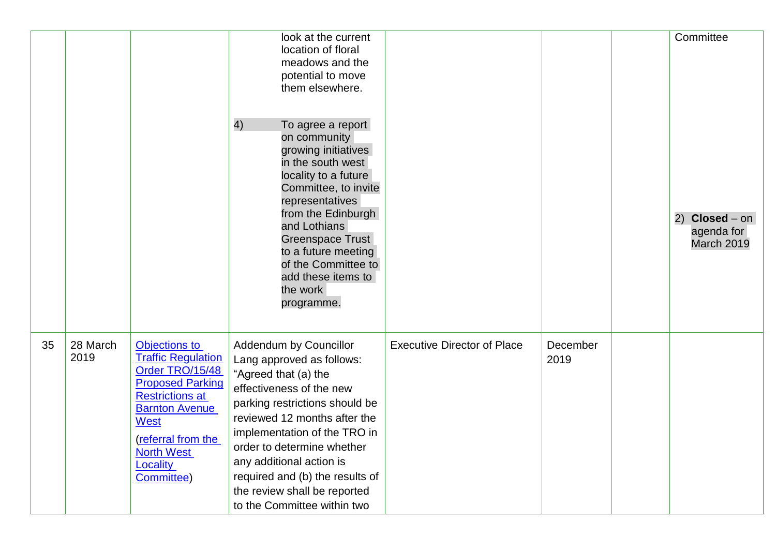|    |                  |                                                                                                                                                                                                                                 | look at the current<br>location of floral<br>meadows and the<br>potential to move<br>them elsewhere.<br>4)<br>To agree a report<br>on community<br>growing initiatives<br>in the south west<br>locality to a future<br>Committee, to invite<br>representatives<br>from the Edinburgh<br>and Lothians<br>Greenspace Trust<br>to a future meeting<br>of the Committee to<br>add these items to<br>the work<br>programme. |                                    |                  | Committee<br>$Closed - on$<br>2)<br>agenda for<br>March 2019 |
|----|------------------|---------------------------------------------------------------------------------------------------------------------------------------------------------------------------------------------------------------------------------|------------------------------------------------------------------------------------------------------------------------------------------------------------------------------------------------------------------------------------------------------------------------------------------------------------------------------------------------------------------------------------------------------------------------|------------------------------------|------------------|--------------------------------------------------------------|
| 35 | 28 March<br>2019 | Objections to<br><b>Traffic Regulation</b><br>Order TRO/15/48<br><b>Proposed Parking</b><br><b>Restrictions at</b><br><b>Barnton Avenue</b><br>West<br>(referral from the<br><b>North West</b><br><b>Locality</b><br>Committee) | Addendum by Councillor<br>Lang approved as follows:<br>"Agreed that (a) the<br>effectiveness of the new<br>parking restrictions should be<br>reviewed 12 months after the<br>implementation of the TRO in<br>order to determine whether<br>any additional action is<br>required and (b) the results of<br>the review shall be reported<br>to the Committee within two                                                  | <b>Executive Director of Place</b> | December<br>2019 |                                                              |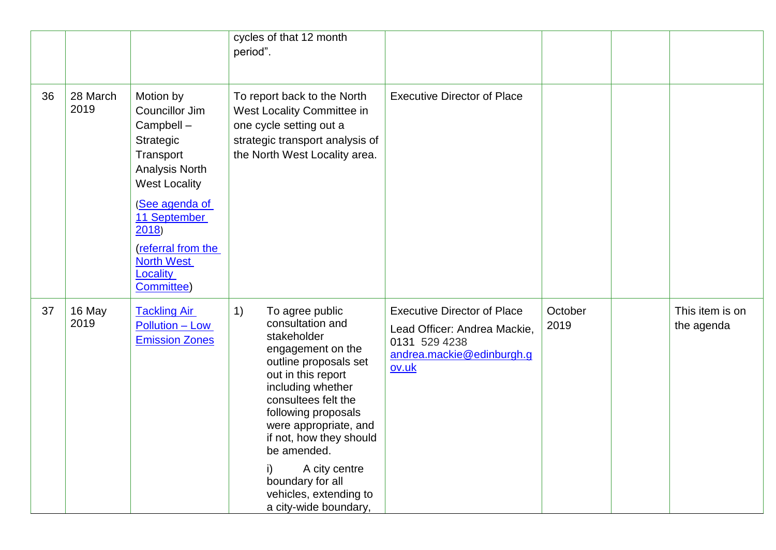|    |                  |                                                                                                                                                                                                                              | cycles of that 12 month<br>period".                                                                                                                                                                                                                                                                                                                        |                                                                                                                           |                 |                               |
|----|------------------|------------------------------------------------------------------------------------------------------------------------------------------------------------------------------------------------------------------------------|------------------------------------------------------------------------------------------------------------------------------------------------------------------------------------------------------------------------------------------------------------------------------------------------------------------------------------------------------------|---------------------------------------------------------------------------------------------------------------------------|-----------------|-------------------------------|
| 36 | 28 March<br>2019 | Motion by<br>Councillor Jim<br>Campbell -<br>Strategic<br>Transport<br>Analysis North<br><b>West Locality</b><br>(See agenda of<br>11 September<br>2018<br>(referral from the<br><b>North West</b><br>Locality<br>Committee) | To report back to the North<br>West Locality Committee in<br>one cycle setting out a<br>strategic transport analysis of<br>the North West Locality area.                                                                                                                                                                                                   | <b>Executive Director of Place</b>                                                                                        |                 |                               |
| 37 | 16 May<br>2019   | <b>Tackling Air</b><br>Pollution - Low<br><b>Emission Zones</b>                                                                                                                                                              | 1)<br>To agree public<br>consultation and<br>stakeholder<br>engagement on the<br>outline proposals set<br>out in this report<br>including whether<br>consultees felt the<br>following proposals<br>were appropriate, and<br>if not, how they should<br>be amended.<br>A city centre<br>boundary for all<br>vehicles, extending to<br>a city-wide boundary, | <b>Executive Director of Place</b><br>Lead Officer: Andrea Mackie,<br>0131 529 4238<br>andrea.mackie@edinburgh.g<br>ov.uk | October<br>2019 | This item is on<br>the agenda |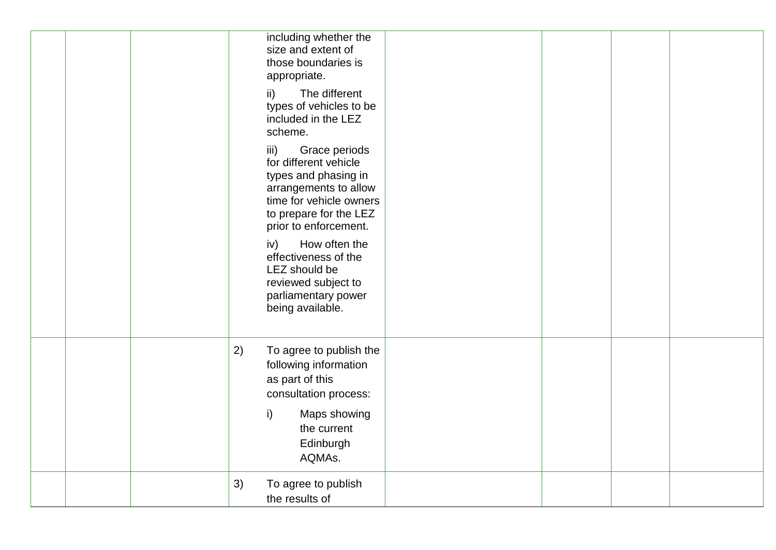| including whether the<br>size and extent of<br>those boundaries is<br>appropriate.                                                                                                                                                                                                                               |  |  |
|------------------------------------------------------------------------------------------------------------------------------------------------------------------------------------------------------------------------------------------------------------------------------------------------------------------|--|--|
| The different<br>ii)<br>types of vehicles to be<br>included in the LEZ<br>scheme.                                                                                                                                                                                                                                |  |  |
| iii)<br>Grace periods<br>for different vehicle<br>types and phasing in<br>arrangements to allow<br>time for vehicle owners<br>to prepare for the LEZ<br>prior to enforcement.<br>How often the<br>iv)<br>effectiveness of the<br>LEZ should be<br>reviewed subject to<br>parliamentary power<br>being available. |  |  |
| To agree to publish the<br>2)<br>following information<br>as part of this<br>consultation process:                                                                                                                                                                                                               |  |  |
| i)<br>Maps showing<br>the current<br>Edinburgh<br>AQMAs.                                                                                                                                                                                                                                                         |  |  |
| 3)<br>To agree to publish<br>the results of                                                                                                                                                                                                                                                                      |  |  |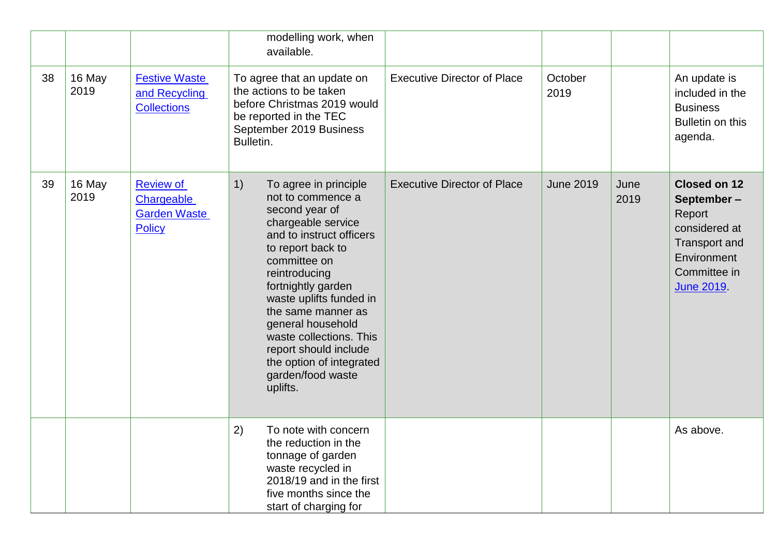|    |                |                                                                        | modelling work, when<br>available.                                                                                                                                                                                                                                                                                                                                                      |                                    |                  |              |                                                                                                                                          |
|----|----------------|------------------------------------------------------------------------|-----------------------------------------------------------------------------------------------------------------------------------------------------------------------------------------------------------------------------------------------------------------------------------------------------------------------------------------------------------------------------------------|------------------------------------|------------------|--------------|------------------------------------------------------------------------------------------------------------------------------------------|
| 38 | 16 May<br>2019 | <b>Festive Waste</b><br>and Recycling<br><b>Collections</b>            | To agree that an update on<br>the actions to be taken<br>before Christmas 2019 would<br>be reported in the TEC<br>September 2019 Business<br>Bulletin.                                                                                                                                                                                                                                  | <b>Executive Director of Place</b> | October<br>2019  |              | An update is<br>included in the<br><b>Business</b><br>Bulletin on this<br>agenda.                                                        |
| 39 | 16 May<br>2019 | Review of<br><b>Chargeable</b><br><b>Garden Waste</b><br><b>Policy</b> | 1)<br>To agree in principle<br>not to commence a<br>second year of<br>chargeable service<br>and to instruct officers<br>to report back to<br>committee on<br>reintroducing<br>fortnightly garden<br>waste uplifts funded in<br>the same manner as<br>general household<br>waste collections. This<br>report should include<br>the option of integrated<br>garden/food waste<br>uplifts. | <b>Executive Director of Place</b> | <b>June 2019</b> | June<br>2019 | <b>Closed on 12</b><br>September-<br>Report<br>considered at<br><b>Transport and</b><br>Environment<br>Committee in<br><b>June 2019.</b> |
|    |                |                                                                        | 2)<br>To note with concern<br>the reduction in the<br>tonnage of garden<br>waste recycled in<br>2018/19 and in the first<br>five months since the<br>start of charging for                                                                                                                                                                                                              |                                    |                  |              | As above.                                                                                                                                |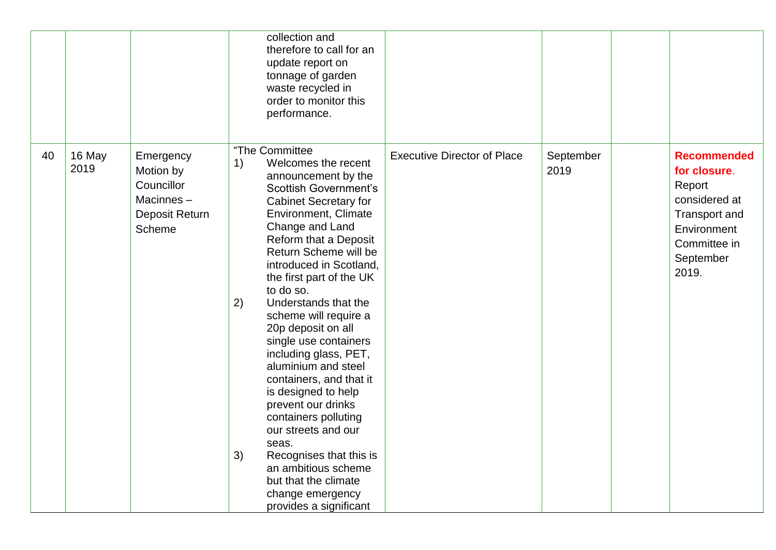|    |                |                                                                               | collection and<br>therefore to call for an<br>update report on<br>tonnage of garden<br>waste recycled in<br>order to monitor this<br>performance.                                                                                                                                                                                                                                                                                                                                                                                                                                                                                                                                                                       |                                    |                   |                                                                                                                                            |
|----|----------------|-------------------------------------------------------------------------------|-------------------------------------------------------------------------------------------------------------------------------------------------------------------------------------------------------------------------------------------------------------------------------------------------------------------------------------------------------------------------------------------------------------------------------------------------------------------------------------------------------------------------------------------------------------------------------------------------------------------------------------------------------------------------------------------------------------------------|------------------------------------|-------------------|--------------------------------------------------------------------------------------------------------------------------------------------|
| 40 | 16 May<br>2019 | Emergency<br>Motion by<br>Councillor<br>Macinnes-<br>Deposit Return<br>Scheme | "The Committee<br>Welcomes the recent<br>1)<br>announcement by the<br><b>Scottish Government's</b><br><b>Cabinet Secretary for</b><br>Environment, Climate<br>Change and Land<br>Reform that a Deposit<br>Return Scheme will be<br>introduced in Scotland,<br>the first part of the UK<br>to do so.<br>Understands that the<br>2)<br>scheme will require a<br>20p deposit on all<br>single use containers<br>including glass, PET,<br>aluminium and steel<br>containers, and that it<br>is designed to help<br>prevent our drinks<br>containers polluting<br>our streets and our<br>seas.<br>3)<br>Recognises that this is<br>an ambitious scheme<br>but that the climate<br>change emergency<br>provides a significant | <b>Executive Director of Place</b> | September<br>2019 | <b>Recommended</b><br>for closure.<br>Report<br>considered at<br><b>Transport and</b><br>Environment<br>Committee in<br>September<br>2019. |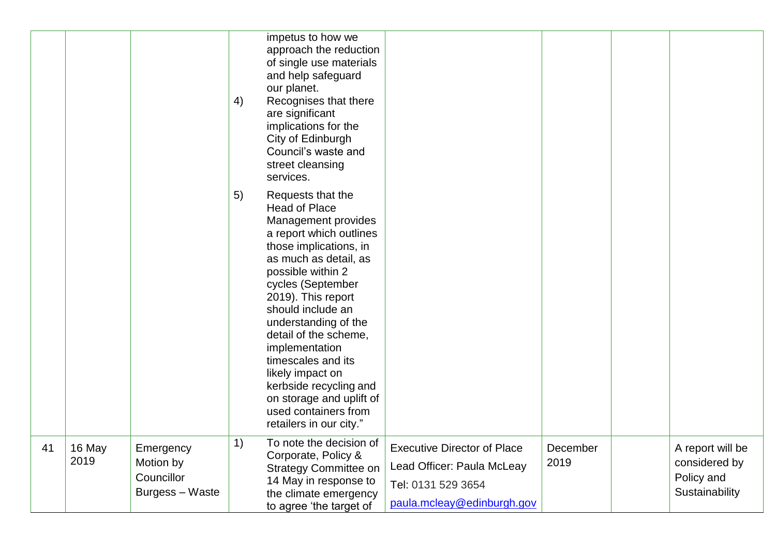|    |                |                                                         | 4) | impetus to how we<br>approach the reduction<br>of single use materials<br>and help safeguard<br>our planet.<br>Recognises that there<br>are significant<br>implications for the<br>City of Edinburgh<br>Council's waste and<br>street cleansing<br>services.                                                                                                                                                                                              |                                                                                                                      |                  |                                                                   |
|----|----------------|---------------------------------------------------------|----|-----------------------------------------------------------------------------------------------------------------------------------------------------------------------------------------------------------------------------------------------------------------------------------------------------------------------------------------------------------------------------------------------------------------------------------------------------------|----------------------------------------------------------------------------------------------------------------------|------------------|-------------------------------------------------------------------|
|    |                |                                                         | 5) | Requests that the<br><b>Head of Place</b><br>Management provides<br>a report which outlines<br>those implications, in<br>as much as detail, as<br>possible within 2<br>cycles (September<br>2019). This report<br>should include an<br>understanding of the<br>detail of the scheme,<br>implementation<br>timescales and its<br>likely impact on<br>kerbside recycling and<br>on storage and uplift of<br>used containers from<br>retailers in our city." |                                                                                                                      |                  |                                                                   |
| 41 | 16 May<br>2019 | Emergency<br>Motion by<br>Councillor<br>Burgess - Waste | 1) | To note the decision of<br>Corporate, Policy &<br><b>Strategy Committee on</b><br>14 May in response to<br>the climate emergency<br>to agree 'the target of                                                                                                                                                                                                                                                                                               | <b>Executive Director of Place</b><br>Lead Officer: Paula McLeay<br>Tel: 0131 529 3654<br>paula.mcleay@edinburgh.gov | December<br>2019 | A report will be<br>considered by<br>Policy and<br>Sustainability |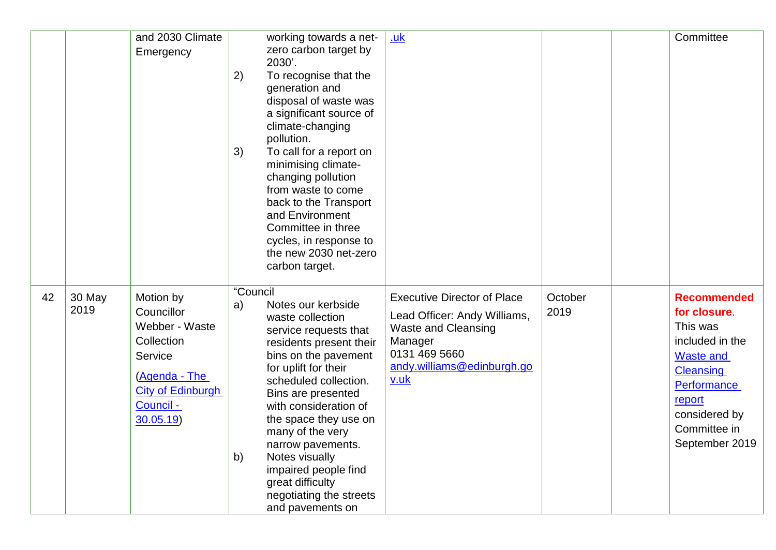|    |                | and 2030 Climate<br>Emergency                                                                                                            | 2)<br>3)             | working towards a net-<br>zero carbon target by<br>2030'.<br>To recognise that the<br>generation and<br>disposal of waste was<br>a significant source of<br>climate-changing<br>pollution.<br>To call for a report on<br>minimising climate-<br>changing pollution<br>from waste to come<br>back to the Transport<br>and Environment<br>Committee in three<br>cycles, in response to<br>the new 2030 net-zero<br>carbon target. | <u>.uk</u>                                                                                                                                                         |                 | Committee                                                                                                                                                                             |
|----|----------------|------------------------------------------------------------------------------------------------------------------------------------------|----------------------|---------------------------------------------------------------------------------------------------------------------------------------------------------------------------------------------------------------------------------------------------------------------------------------------------------------------------------------------------------------------------------------------------------------------------------|--------------------------------------------------------------------------------------------------------------------------------------------------------------------|-----------------|---------------------------------------------------------------------------------------------------------------------------------------------------------------------------------------|
| 42 | 30 May<br>2019 | Motion by<br>Councillor<br>Webber - Waste<br>Collection<br>Service<br>(Agenda - The<br><b>City of Edinburgh</b><br>Council -<br>30.05.19 | "Council<br>a)<br>b) | Notes our kerbside<br>waste collection<br>service requests that<br>residents present their<br>bins on the pavement<br>for uplift for their<br>scheduled collection.<br>Bins are presented<br>with consideration of<br>the space they use on<br>many of the very<br>narrow pavements.<br>Notes visually<br>impaired people find<br>great difficulty<br>negotiating the streets<br>and pavements on                               | <b>Executive Director of Place</b><br>Lead Officer: Andy Williams,<br><b>Waste and Cleansing</b><br>Manager<br>0131 469 5660<br>andy.williams@edinburgh.go<br>v.uk | October<br>2019 | <b>Recommended</b><br>for closure.<br>This was<br>included in the<br><b>Waste and</b><br><b>Cleansing</b><br>Performance<br>report<br>considered by<br>Committee in<br>September 2019 |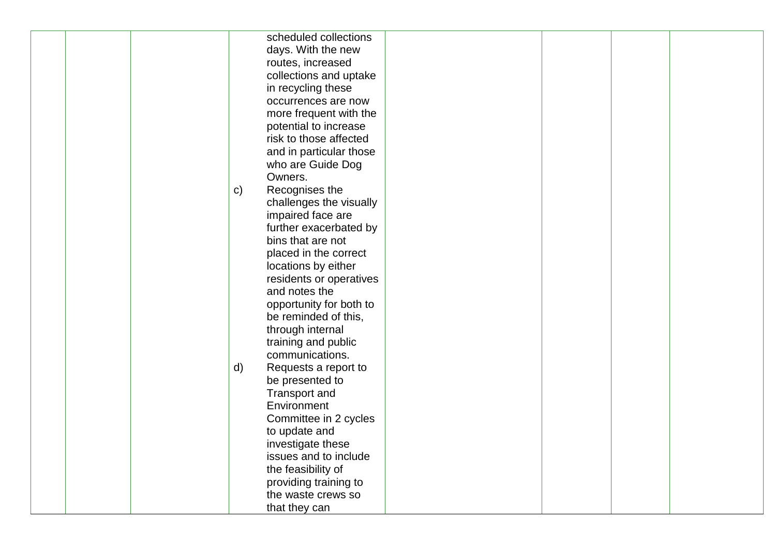|  |              | scheduled collections   |  |  |
|--|--------------|-------------------------|--|--|
|  |              | days. With the new      |  |  |
|  |              | routes, increased       |  |  |
|  |              | collections and uptake  |  |  |
|  |              | in recycling these      |  |  |
|  |              | occurrences are now     |  |  |
|  |              |                         |  |  |
|  |              | more frequent with the  |  |  |
|  |              | potential to increase   |  |  |
|  |              | risk to those affected  |  |  |
|  |              | and in particular those |  |  |
|  |              | who are Guide Dog       |  |  |
|  |              | Owners.                 |  |  |
|  | $\mathsf{C}$ | Recognises the          |  |  |
|  |              | challenges the visually |  |  |
|  |              | impaired face are       |  |  |
|  |              | further exacerbated by  |  |  |
|  |              | bins that are not       |  |  |
|  |              | placed in the correct   |  |  |
|  |              | locations by either     |  |  |
|  |              | residents or operatives |  |  |
|  |              | and notes the           |  |  |
|  |              | opportunity for both to |  |  |
|  |              | be reminded of this,    |  |  |
|  |              | through internal        |  |  |
|  |              | training and public     |  |  |
|  |              | communications.         |  |  |
|  | d)           | Requests a report to    |  |  |
|  |              | be presented to         |  |  |
|  |              | Transport and           |  |  |
|  |              | Environment             |  |  |
|  |              | Committee in 2 cycles   |  |  |
|  |              | to update and           |  |  |
|  |              | investigate these       |  |  |
|  |              | issues and to include   |  |  |
|  |              | the feasibility of      |  |  |
|  |              | providing training to   |  |  |
|  |              | the waste crews so      |  |  |
|  |              | that they can           |  |  |
|  |              |                         |  |  |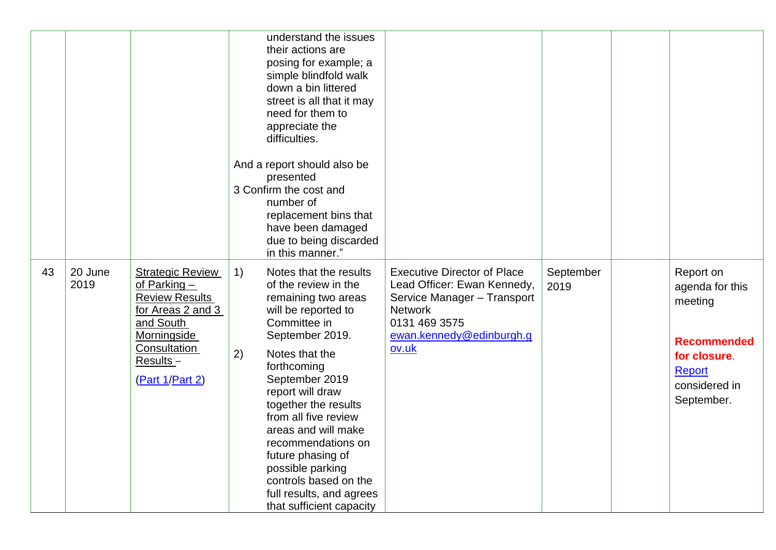|    |                 |                                                                                                                                                                    |          | understand the issues<br>their actions are<br>posing for example; a<br>simple blindfold walk<br>down a bin littered<br>street is all that it may<br>need for them to<br>appreciate the<br>difficulties.                                                                                                                                                               |                                                                                                                                                                          |                   |                                                                                                                        |
|----|-----------------|--------------------------------------------------------------------------------------------------------------------------------------------------------------------|----------|-----------------------------------------------------------------------------------------------------------------------------------------------------------------------------------------------------------------------------------------------------------------------------------------------------------------------------------------------------------------------|--------------------------------------------------------------------------------------------------------------------------------------------------------------------------|-------------------|------------------------------------------------------------------------------------------------------------------------|
|    |                 |                                                                                                                                                                    |          | And a report should also be<br>presented<br>3 Confirm the cost and<br>number of<br>replacement bins that<br>have been damaged<br>due to being discarded<br>in this manner."                                                                                                                                                                                           |                                                                                                                                                                          |                   |                                                                                                                        |
| 43 | 20 June<br>2019 | <b>Strategic Review</b><br>of Parking $-$<br><b>Review Results</b><br>for Areas 2 and 3<br>and South<br>Morningside<br>Consultation<br>Results-<br>(Part 1/Part 2) | 1)<br>2) | Notes that the results<br>of the review in the<br>remaining two areas<br>will be reported to<br>Committee in<br>September 2019.<br>Notes that the<br>forthcoming<br>September 2019<br>report will draw<br>together the results<br>from all five review<br>areas and will make<br>recommendations on<br>future phasing of<br>possible parking<br>controls based on the | <b>Executive Director of Place</b><br>Lead Officer: Ewan Kennedy,<br>Service Manager - Transport<br><b>Network</b><br>0131 469 3575<br>ewan.kennedy@edinburgh.g<br>ov.uk | September<br>2019 | Report on<br>agenda for this<br>meeting<br><b>Recommended</b><br>for closure.<br>Report<br>considered in<br>September. |
|    |                 |                                                                                                                                                                    |          | full results, and agrees<br>that sufficient capacity                                                                                                                                                                                                                                                                                                                  |                                                                                                                                                                          |                   |                                                                                                                        |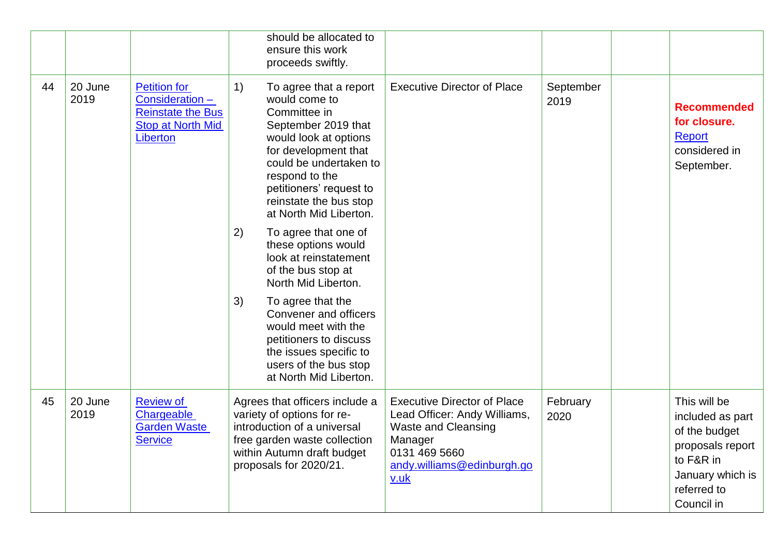|    |                 |                                                                                                           |    | should be allocated to<br>ensure this work<br>proceeds swiftly.                                                                                                                                                                                            |                                                                                                                                                                    |                   |                                                                                                                                     |
|----|-----------------|-----------------------------------------------------------------------------------------------------------|----|------------------------------------------------------------------------------------------------------------------------------------------------------------------------------------------------------------------------------------------------------------|--------------------------------------------------------------------------------------------------------------------------------------------------------------------|-------------------|-------------------------------------------------------------------------------------------------------------------------------------|
| 44 | 20 June<br>2019 | <b>Petition for</b><br>Consideration-<br><b>Reinstate the Bus</b><br><b>Stop at North Mid</b><br>Liberton | 1) | To agree that a report<br>would come to<br>Committee in<br>September 2019 that<br>would look at options<br>for development that<br>could be undertaken to<br>respond to the<br>petitioners' request to<br>reinstate the bus stop<br>at North Mid Liberton. | <b>Executive Director of Place</b>                                                                                                                                 | September<br>2019 | <b>Recommended</b><br>for closure.<br><b>Report</b><br>considered in<br>September.                                                  |
|    |                 |                                                                                                           | 2) | To agree that one of<br>these options would<br>look at reinstatement<br>of the bus stop at<br>North Mid Liberton.                                                                                                                                          |                                                                                                                                                                    |                   |                                                                                                                                     |
|    |                 |                                                                                                           | 3) | To agree that the<br>Convener and officers<br>would meet with the<br>petitioners to discuss<br>the issues specific to<br>users of the bus stop<br>at North Mid Liberton.                                                                                   |                                                                                                                                                                    |                   |                                                                                                                                     |
| 45 | 20 June<br>2019 | <b>Review of</b><br>Chargeable<br><b>Garden Waste</b><br><b>Service</b>                                   |    | Agrees that officers include a<br>variety of options for re-<br>introduction of a universal<br>free garden waste collection<br>within Autumn draft budget<br>proposals for 2020/21.                                                                        | <b>Executive Director of Place</b><br>Lead Officer: Andy Williams,<br><b>Waste and Cleansing</b><br>Manager<br>0131 469 5660<br>andy.williams@edinburgh.go<br>v.uk | February<br>2020  | This will be<br>included as part<br>of the budget<br>proposals report<br>to F&R in<br>January which is<br>referred to<br>Council in |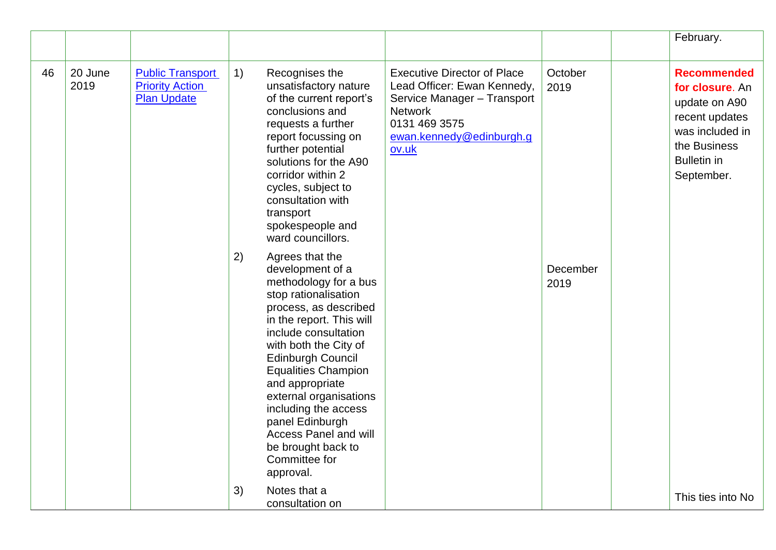|    |                 |                                                                         |    |                                                                                                                                                                                                                                                                                                                                                                                                                           |                                                                                                                                                                          |                  | February.                                                                                                                                       |
|----|-----------------|-------------------------------------------------------------------------|----|---------------------------------------------------------------------------------------------------------------------------------------------------------------------------------------------------------------------------------------------------------------------------------------------------------------------------------------------------------------------------------------------------------------------------|--------------------------------------------------------------------------------------------------------------------------------------------------------------------------|------------------|-------------------------------------------------------------------------------------------------------------------------------------------------|
| 46 | 20 June<br>2019 | <b>Public Transport</b><br><b>Priority Action</b><br><b>Plan Update</b> | 1) | Recognises the<br>unsatisfactory nature<br>of the current report's<br>conclusions and<br>requests a further<br>report focussing on<br>further potential<br>solutions for the A90<br>corridor within 2<br>cycles, subject to<br>consultation with<br>transport<br>spokespeople and<br>ward councillors.                                                                                                                    | <b>Executive Director of Place</b><br>Lead Officer: Ewan Kennedy,<br>Service Manager - Transport<br><b>Network</b><br>0131 469 3575<br>ewan.kennedy@edinburgh.g<br>ov.uk | October<br>2019  | <b>Recommended</b><br>for closure. An<br>update on A90<br>recent updates<br>was included in<br>the Business<br><b>Bulletin in</b><br>September. |
|    |                 |                                                                         | 2) | Agrees that the<br>development of a<br>methodology for a bus<br>stop rationalisation<br>process, as described<br>in the report. This will<br>include consultation<br>with both the City of<br>Edinburgh Council<br><b>Equalities Champion</b><br>and appropriate<br>external organisations<br>including the access<br>panel Edinburgh<br><b>Access Panel and will</b><br>be brought back to<br>Committee for<br>approval. |                                                                                                                                                                          | December<br>2019 |                                                                                                                                                 |
|    |                 |                                                                         | 3) | Notes that a<br>consultation on                                                                                                                                                                                                                                                                                                                                                                                           |                                                                                                                                                                          |                  | This ties into No                                                                                                                               |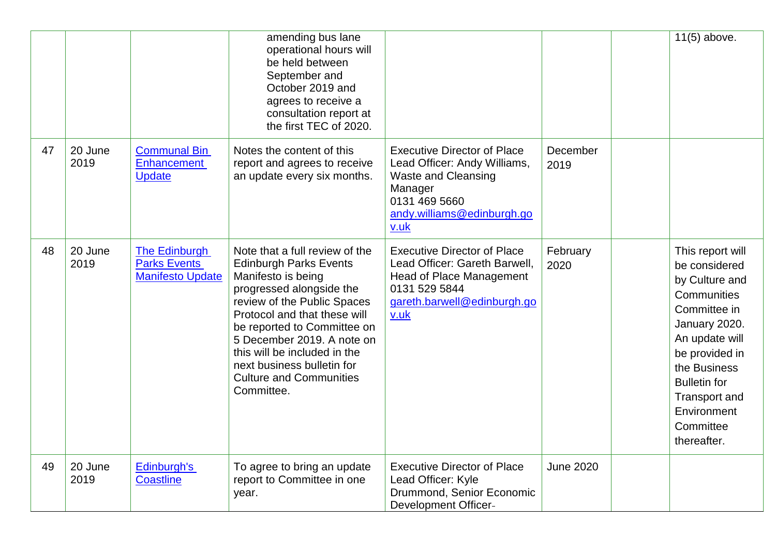|    |                 |                                                                 | amending bus lane<br>operational hours will<br>be held between<br>September and<br>October 2019 and<br>agrees to receive a<br>consultation report at<br>the first TEC of 2020.                                                                                                                                                                              |                                                                                                                                                                    |                  | 11(5) above.                                                                                                                                                                                                                               |
|----|-----------------|-----------------------------------------------------------------|-------------------------------------------------------------------------------------------------------------------------------------------------------------------------------------------------------------------------------------------------------------------------------------------------------------------------------------------------------------|--------------------------------------------------------------------------------------------------------------------------------------------------------------------|------------------|--------------------------------------------------------------------------------------------------------------------------------------------------------------------------------------------------------------------------------------------|
| 47 | 20 June<br>2019 | <b>Communal Bin</b><br>Enhancement<br><b>Update</b>             | Notes the content of this<br>report and agrees to receive<br>an update every six months.                                                                                                                                                                                                                                                                    | <b>Executive Director of Place</b><br>Lead Officer: Andy Williams,<br><b>Waste and Cleansing</b><br>Manager<br>0131 469 5660<br>andy.williams@edinburgh.go<br>v.uk | December<br>2019 |                                                                                                                                                                                                                                            |
| 48 | 20 June<br>2019 | The Edinburgh<br><b>Parks Events</b><br><b>Manifesto Update</b> | Note that a full review of the<br><b>Edinburgh Parks Events</b><br>Manifesto is being<br>progressed alongside the<br>review of the Public Spaces<br>Protocol and that these will<br>be reported to Committee on<br>5 December 2019. A note on<br>this will be included in the<br>next business bulletin for<br><b>Culture and Communities</b><br>Committee. | <b>Executive Director of Place</b><br>Lead Officer: Gareth Barwell,<br><b>Head of Place Management</b><br>0131 529 5844<br>gareth.barwell@edinburgh.go<br>v.uk     | February<br>2020 | This report will<br>be considered<br>by Culture and<br>Communities<br>Committee in<br>January 2020.<br>An update will<br>be provided in<br>the Business<br><b>Bulletin</b> for<br>Transport and<br>Environment<br>Committee<br>thereafter. |
| 49 | 20 June<br>2019 | Edinburgh's<br><b>Coastline</b>                                 | To agree to bring an update<br>report to Committee in one<br>year.                                                                                                                                                                                                                                                                                          | <b>Executive Director of Place</b><br>Lead Officer: Kyle<br>Drummond, Senior Economic<br><b>Development Officer-</b>                                               | <b>June 2020</b> |                                                                                                                                                                                                                                            |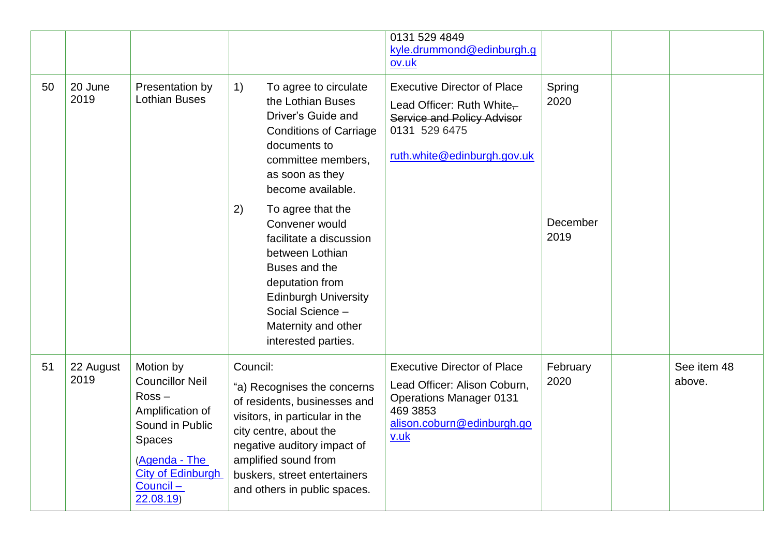|    |                   |                                                                                                                                                                               |                                                                                                                                                                                                                                                            | 0131 529 4849<br>kyle.drummond@edinburgh.g<br>ov.uk                                                                                                        |                  |                       |
|----|-------------------|-------------------------------------------------------------------------------------------------------------------------------------------------------------------------------|------------------------------------------------------------------------------------------------------------------------------------------------------------------------------------------------------------------------------------------------------------|------------------------------------------------------------------------------------------------------------------------------------------------------------|------------------|-----------------------|
| 50 | 20 June<br>2019   | Presentation by<br><b>Lothian Buses</b>                                                                                                                                       | 1)<br>To agree to circulate<br>the Lothian Buses<br>Driver's Guide and<br><b>Conditions of Carriage</b><br>documents to<br>committee members.<br>as soon as they<br>become available.                                                                      | <b>Executive Director of Place</b><br>Lead Officer: Ruth White $\frac{1}{x}$<br>Service and Policy Advisor<br>0131 529 6475<br>ruth.white@edinburgh.gov.uk | Spring<br>2020   |                       |
|    |                   |                                                                                                                                                                               | 2)<br>To agree that the<br>Convener would<br>facilitate a discussion<br>between Lothian<br>Buses and the<br>deputation from<br><b>Edinburgh University</b><br>Social Science -<br>Maternity and other<br>interested parties.                               |                                                                                                                                                            | December<br>2019 |                       |
| 51 | 22 August<br>2019 | Motion by<br><b>Councillor Neil</b><br>$Ross -$<br>Amplification of<br>Sound in Public<br><b>Spaces</b><br>(Agenda - The<br><b>City of Edinburgh</b><br>Council -<br>22.08.19 | Council:<br>"a) Recognises the concerns<br>of residents, businesses and<br>visitors, in particular in the<br>city centre, about the<br>negative auditory impact of<br>amplified sound from<br>buskers, street entertainers<br>and others in public spaces. | <b>Executive Director of Place</b><br>Lead Officer: Alison Coburn,<br><b>Operations Manager 0131</b><br>469 3853<br>alison.coburn@edinburgh.go<br>v.uk     | February<br>2020 | See item 48<br>above. |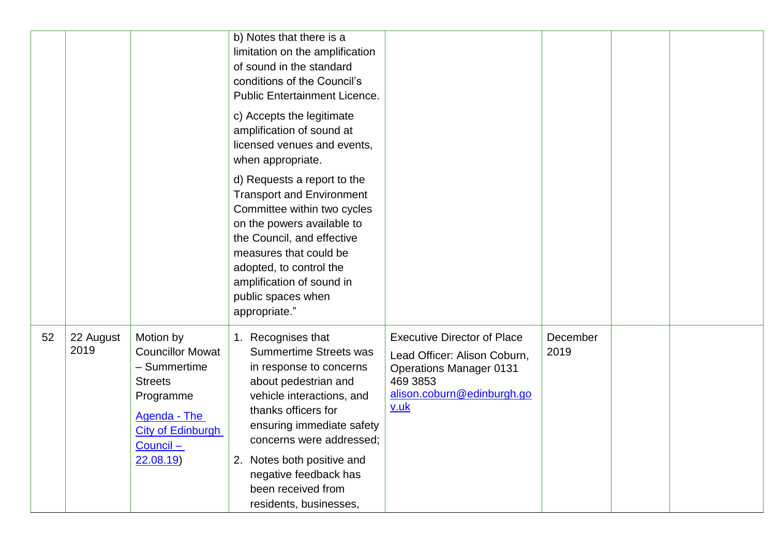|    |                   |                                                                                                                                                          | b) Notes that there is a<br>limitation on the amplification<br>of sound in the standard<br>conditions of the Council's<br><b>Public Entertainment Licence.</b><br>c) Accepts the legitimate<br>amplification of sound at<br>licensed venues and events,<br>when appropriate.                                                          |                                                                                                                                                        |                  |  |
|----|-------------------|----------------------------------------------------------------------------------------------------------------------------------------------------------|---------------------------------------------------------------------------------------------------------------------------------------------------------------------------------------------------------------------------------------------------------------------------------------------------------------------------------------|--------------------------------------------------------------------------------------------------------------------------------------------------------|------------------|--|
|    |                   |                                                                                                                                                          | d) Requests a report to the<br><b>Transport and Environment</b><br>Committee within two cycles<br>on the powers available to<br>the Council, and effective<br>measures that could be<br>adopted, to control the<br>amplification of sound in<br>public spaces when<br>appropriate."                                                   |                                                                                                                                                        |                  |  |
| 52 | 22 August<br>2019 | Motion by<br><b>Councillor Mowat</b><br>- Summertime<br><b>Streets</b><br>Programme<br>Agenda - The<br><b>City of Edinburgh</b><br>$Count -$<br>22.08.19 | Recognises that<br>$1_{-}$<br><b>Summertime Streets was</b><br>in response to concerns<br>about pedestrian and<br>vehicle interactions, and<br>thanks officers for<br>ensuring immediate safety<br>concerns were addressed;<br>Notes both positive and<br>2.<br>negative feedback has<br>been received from<br>residents, businesses, | <b>Executive Director of Place</b><br>Lead Officer: Alison Coburn,<br><b>Operations Manager 0131</b><br>469 3853<br>alison.coburn@edinburgh.go<br>v.uk | December<br>2019 |  |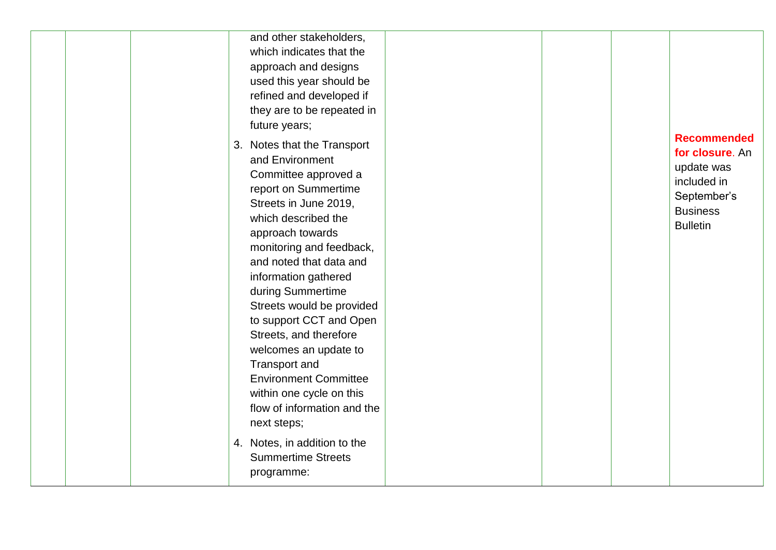|  | and other stakeholders,<br>which indicates that the<br>approach and designs<br>used this year should be<br>refined and developed if<br>they are to be repeated in<br>future years;                                                                                                                                                                                                                                                                                                                           |  |                                                                                                                         |
|--|--------------------------------------------------------------------------------------------------------------------------------------------------------------------------------------------------------------------------------------------------------------------------------------------------------------------------------------------------------------------------------------------------------------------------------------------------------------------------------------------------------------|--|-------------------------------------------------------------------------------------------------------------------------|
|  | 3. Notes that the Transport<br>and Environment<br>Committee approved a<br>report on Summertime<br>Streets in June 2019,<br>which described the<br>approach towards<br>monitoring and feedback,<br>and noted that data and<br>information gathered<br>during Summertime<br>Streets would be provided<br>to support CCT and Open<br>Streets, and therefore<br>welcomes an update to<br>Transport and<br><b>Environment Committee</b><br>within one cycle on this<br>flow of information and the<br>next steps; |  | <b>Recommended</b><br>for closure. An<br>update was<br>included in<br>September's<br><b>Business</b><br><b>Bulletin</b> |
|  | 4. Notes, in addition to the<br><b>Summertime Streets</b><br>programme:                                                                                                                                                                                                                                                                                                                                                                                                                                      |  |                                                                                                                         |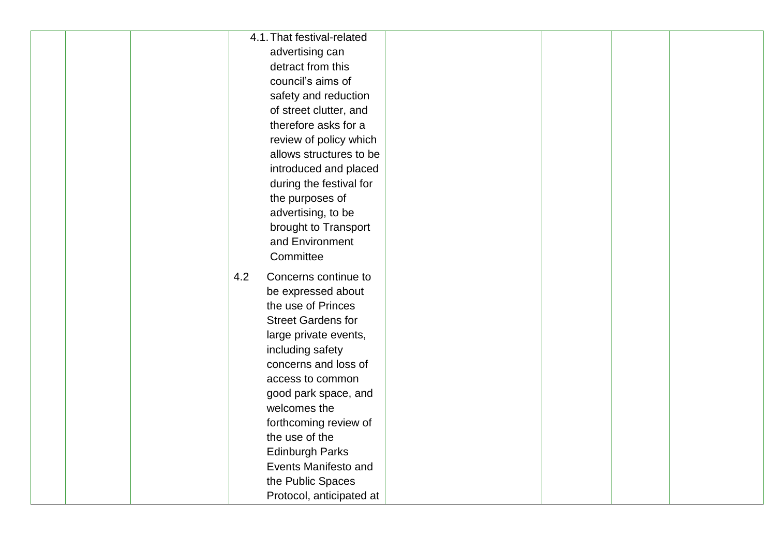| 4.1. That festival-related  |  |  |
|-----------------------------|--|--|
| advertising can             |  |  |
| detract from this           |  |  |
| council's aims of           |  |  |
| safety and reduction        |  |  |
| of street clutter, and      |  |  |
| therefore asks for a        |  |  |
| review of policy which      |  |  |
| allows structures to be     |  |  |
| introduced and placed       |  |  |
| during the festival for     |  |  |
| the purposes of             |  |  |
| advertising, to be          |  |  |
| brought to Transport        |  |  |
| and Environment             |  |  |
| Committee                   |  |  |
| 4.2<br>Concerns continue to |  |  |
| be expressed about          |  |  |
| the use of Princes          |  |  |
| <b>Street Gardens for</b>   |  |  |
| large private events,       |  |  |
| including safety            |  |  |
| concerns and loss of        |  |  |
| access to common            |  |  |
| good park space, and        |  |  |
| welcomes the                |  |  |
| forthcoming review of       |  |  |
| the use of the              |  |  |
| <b>Edinburgh Parks</b>      |  |  |
| Events Manifesto and        |  |  |
| the Public Spaces           |  |  |
| Protocol, anticipated at    |  |  |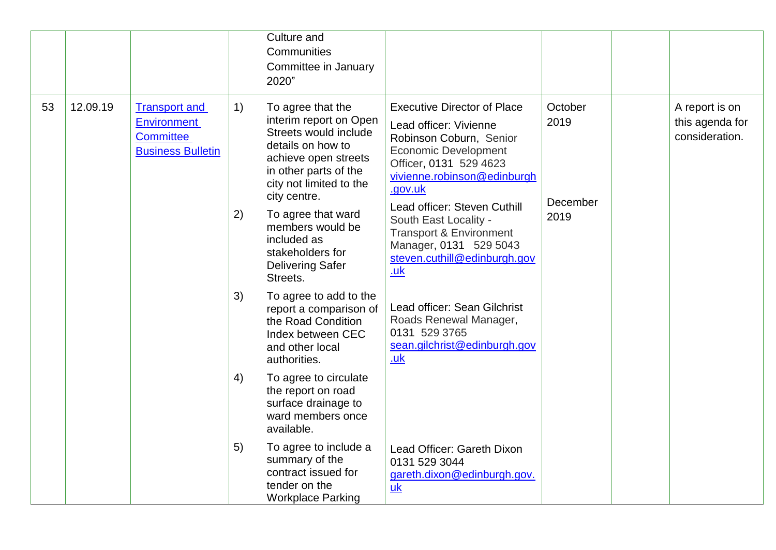|    |          |                                                                                            |          | Culture and<br>Communities<br>Committee in January<br>2020"                                                                                                                                                 |                                                                                                                                                                                                                            |                                     |                                                     |
|----|----------|--------------------------------------------------------------------------------------------|----------|-------------------------------------------------------------------------------------------------------------------------------------------------------------------------------------------------------------|----------------------------------------------------------------------------------------------------------------------------------------------------------------------------------------------------------------------------|-------------------------------------|-----------------------------------------------------|
| 53 | 12.09.19 | <b>Transport and</b><br><b>Environment</b><br><b>Committee</b><br><b>Business Bulletin</b> | 1)<br>2) | To agree that the<br>interim report on Open<br>Streets would include<br>details on how to<br>achieve open streets<br>in other parts of the<br>city not limited to the<br>city centre.<br>To agree that ward | <b>Executive Director of Place</b><br>Lead officer: Vivienne<br>Robinson Coburn, Senior<br><b>Economic Development</b><br>Officer, 0131 529 4623<br>vivienne.robinson@edinburgh<br>.gov.uk<br>Lead officer: Steven Cuthill | October<br>2019<br>December<br>2019 | A report is on<br>this agenda for<br>consideration. |
|    |          |                                                                                            |          | members would be<br>included as<br>stakeholders for<br><b>Delivering Safer</b><br>Streets.                                                                                                                  | South East Locality -<br><b>Transport &amp; Environment</b><br>Manager, 0131 529 5043<br>steven.cuthill@edinburgh.gov<br><u>.uk</u>                                                                                        |                                     |                                                     |
|    |          |                                                                                            | 3)       | To agree to add to the<br>report a comparison of<br>the Road Condition<br>Index between CEC<br>and other local<br>authorities.                                                                              | Lead officer: Sean Gilchrist<br>Roads Renewal Manager,<br>0131 529 3765<br>sean.gilchrist@edinburgh.gov<br>.uk                                                                                                             |                                     |                                                     |
|    |          |                                                                                            | 4)       | To agree to circulate<br>the report on road<br>surface drainage to<br>ward members once<br>available.                                                                                                       |                                                                                                                                                                                                                            |                                     |                                                     |
|    |          |                                                                                            | 5)       | To agree to include a<br>summary of the<br>contract issued for<br>tender on the<br><b>Workplace Parking</b>                                                                                                 | Lead Officer: Gareth Dixon<br>0131 529 3044<br>gareth.dixon@edinburgh.gov.<br>uk                                                                                                                                           |                                     |                                                     |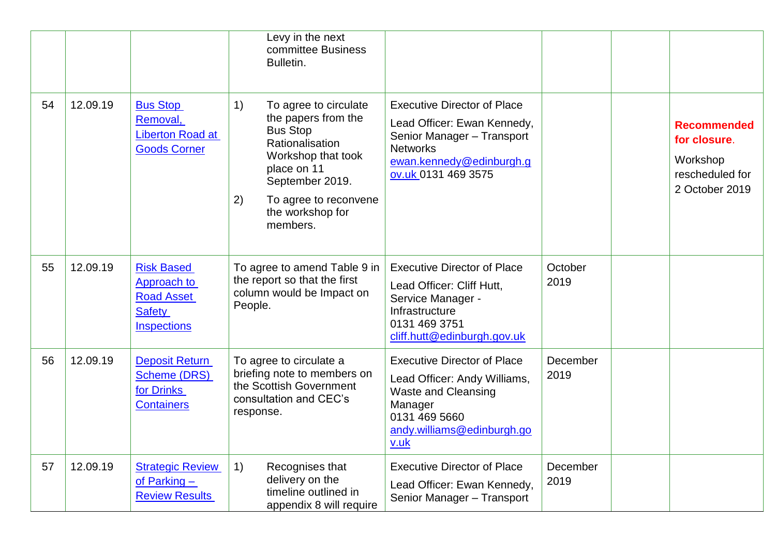|    |          |                                                                                              | Levy in the next<br>committee Business<br>Bulletin.                                                                                                                                                             |                                                                                                                                                                       |                  |                                                                                     |
|----|----------|----------------------------------------------------------------------------------------------|-----------------------------------------------------------------------------------------------------------------------------------------------------------------------------------------------------------------|-----------------------------------------------------------------------------------------------------------------------------------------------------------------------|------------------|-------------------------------------------------------------------------------------|
| 54 | 12.09.19 | <b>Bus Stop</b><br>Removal,<br><b>Liberton Road at</b><br><b>Goods Corner</b>                | 1)<br>To agree to circulate<br>the papers from the<br><b>Bus Stop</b><br>Rationalisation<br>Workshop that took<br>place on 11<br>September 2019.<br>2)<br>To agree to reconvene<br>the workshop for<br>members. | <b>Executive Director of Place</b><br>Lead Officer: Ewan Kennedy,<br>Senior Manager - Transport<br><b>Networks</b><br>ewan.kennedy@edinburgh.g<br>ov.uk 0131 469 3575 |                  | <b>Recommended</b><br>for closure.<br>Workshop<br>rescheduled for<br>2 October 2019 |
| 55 | 12.09.19 | <b>Risk Based</b><br>Approach to<br><b>Road Asset</b><br><b>Safety</b><br><b>Inspections</b> | To agree to amend Table 9 in<br>the report so that the first<br>column would be Impact on<br>People.                                                                                                            | <b>Executive Director of Place</b><br>Lead Officer: Cliff Hutt,<br>Service Manager -<br>Infrastructure<br>0131 469 3751<br>cliff.hutt@edinburgh.gov.uk                | October<br>2019  |                                                                                     |
| 56 | 12.09.19 | <b>Deposit Return</b><br><b>Scheme (DRS)</b><br>for Drinks<br><b>Containers</b>              | To agree to circulate a<br>briefing note to members on<br>the Scottish Government<br>consultation and CEC's<br>response.                                                                                        | <b>Executive Director of Place</b><br>Lead Officer: Andy Williams,<br><b>Waste and Cleansing</b><br>Manager<br>0131 469 5660<br>andy.williams@edinburgh.go<br>v.uk    | December<br>2019 |                                                                                     |
| 57 | 12.09.19 | <b>Strategic Review</b><br>of Parking $-$<br><b>Review Results</b>                           | 1)<br>Recognises that<br>delivery on the<br>timeline outlined in<br>appendix 8 will require                                                                                                                     | <b>Executive Director of Place</b><br>Lead Officer: Ewan Kennedy,<br>Senior Manager - Transport                                                                       | December<br>2019 |                                                                                     |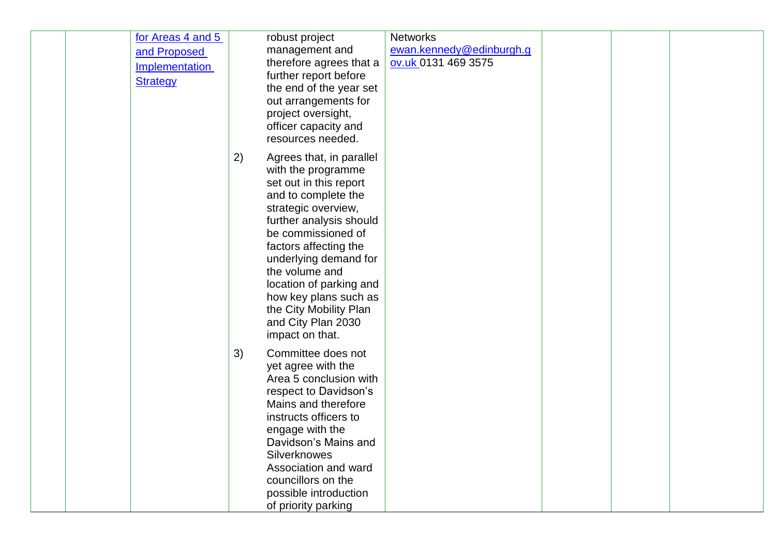| for Areas 4 and 5<br>and Proposed<br>Implementation<br><b>Strategy</b> | robust project<br>management and<br>therefore agrees that a<br>further report before<br>the end of the year set<br>out arrangements for<br>project oversight,<br>officer capacity and<br>resources needed.                                                                                                                                                               | <b>Networks</b><br>ewan.kennedy@edinburgh.g<br>ov.uk 0131 469 3575 |  |  |
|------------------------------------------------------------------------|--------------------------------------------------------------------------------------------------------------------------------------------------------------------------------------------------------------------------------------------------------------------------------------------------------------------------------------------------------------------------|--------------------------------------------------------------------|--|--|
|                                                                        | 2)<br>Agrees that, in parallel<br>with the programme<br>set out in this report<br>and to complete the<br>strategic overview,<br>further analysis should<br>be commissioned of<br>factors affecting the<br>underlying demand for<br>the volume and<br>location of parking and<br>how key plans such as<br>the City Mobility Plan<br>and City Plan 2030<br>impact on that. |                                                                    |  |  |
|                                                                        | 3)<br>Committee does not<br>yet agree with the<br>Area 5 conclusion with<br>respect to Davidson's<br>Mains and therefore<br>instructs officers to<br>engage with the<br>Davidson's Mains and<br><b>Silverknowes</b><br>Association and ward<br>councillors on the<br>possible introduction<br>of priority parking                                                        |                                                                    |  |  |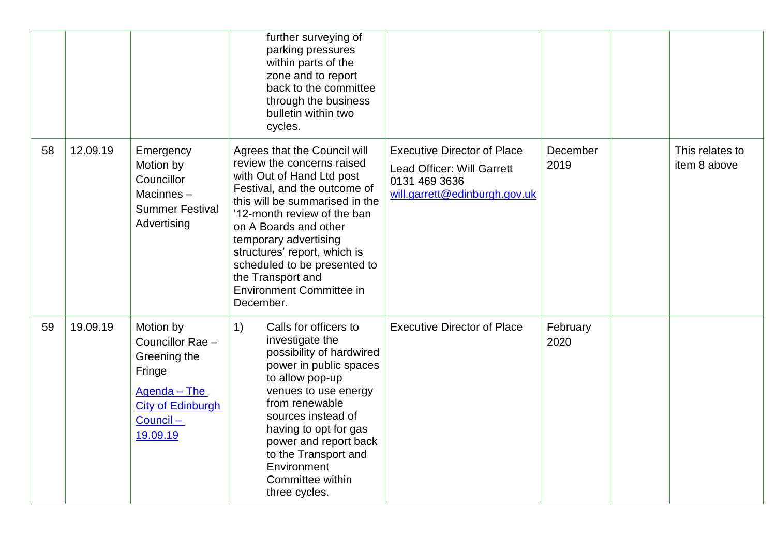|    |          |                                                                                                                             | further surveying of<br>parking pressures<br>within parts of the<br>zone and to report<br>back to the committee<br>through the business<br>bulletin within two<br>cycles.                                                                                                                                                                                                       |                                                                                                                    |                  |                                 |
|----|----------|-----------------------------------------------------------------------------------------------------------------------------|---------------------------------------------------------------------------------------------------------------------------------------------------------------------------------------------------------------------------------------------------------------------------------------------------------------------------------------------------------------------------------|--------------------------------------------------------------------------------------------------------------------|------------------|---------------------------------|
| 58 | 12.09.19 | Emergency<br>Motion by<br>Councillor<br>Macinnes-<br><b>Summer Festival</b><br>Advertising                                  | Agrees that the Council will<br>review the concerns raised<br>with Out of Hand Ltd post<br>Festival, and the outcome of<br>this will be summarised in the<br>'12-month review of the ban<br>on A Boards and other<br>temporary advertising<br>structures' report, which is<br>scheduled to be presented to<br>the Transport and<br><b>Environment Committee in</b><br>December. | <b>Executive Director of Place</b><br>Lead Officer: Will Garrett<br>0131 469 3636<br>will.garrett@edinburgh.gov.uk | December<br>2019 | This relates to<br>item 8 above |
| 59 | 19.09.19 | Motion by<br>Councillor Rae -<br>Greening the<br>Fringe<br>Agenda - The<br><b>City of Edinburgh</b><br>Council-<br>19.09.19 | Calls for officers to<br>1)<br>investigate the<br>possibility of hardwired<br>power in public spaces<br>to allow pop-up<br>venues to use energy<br>from renewable<br>sources instead of<br>having to opt for gas<br>power and report back<br>to the Transport and<br>Environment<br>Committee within<br>three cycles.                                                           | <b>Executive Director of Place</b>                                                                                 | February<br>2020 |                                 |